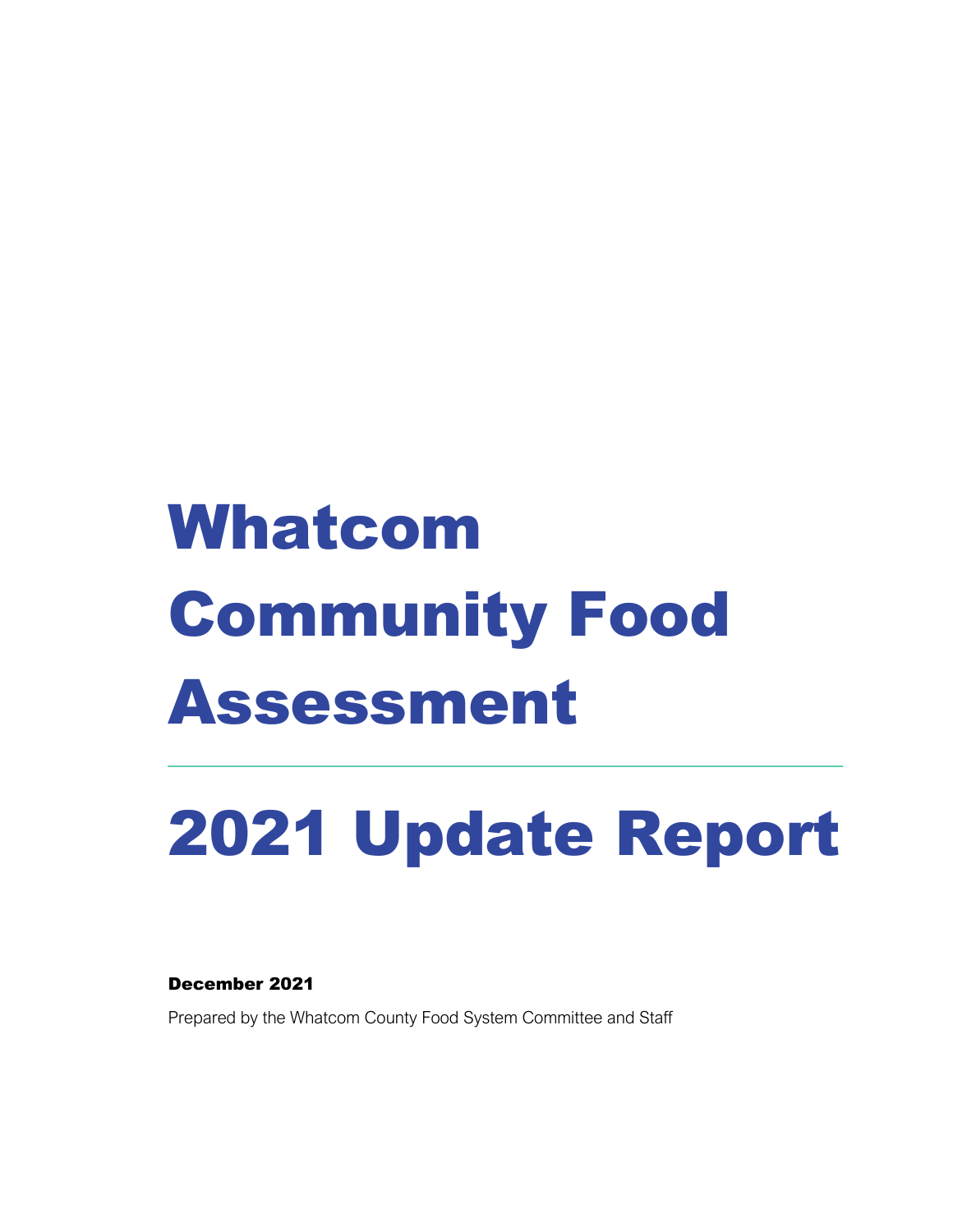# Whatcom Community Food Assessment

# 2021 Update Report

December 2021

Prepared by the Whatcom County Food System Committee and Staff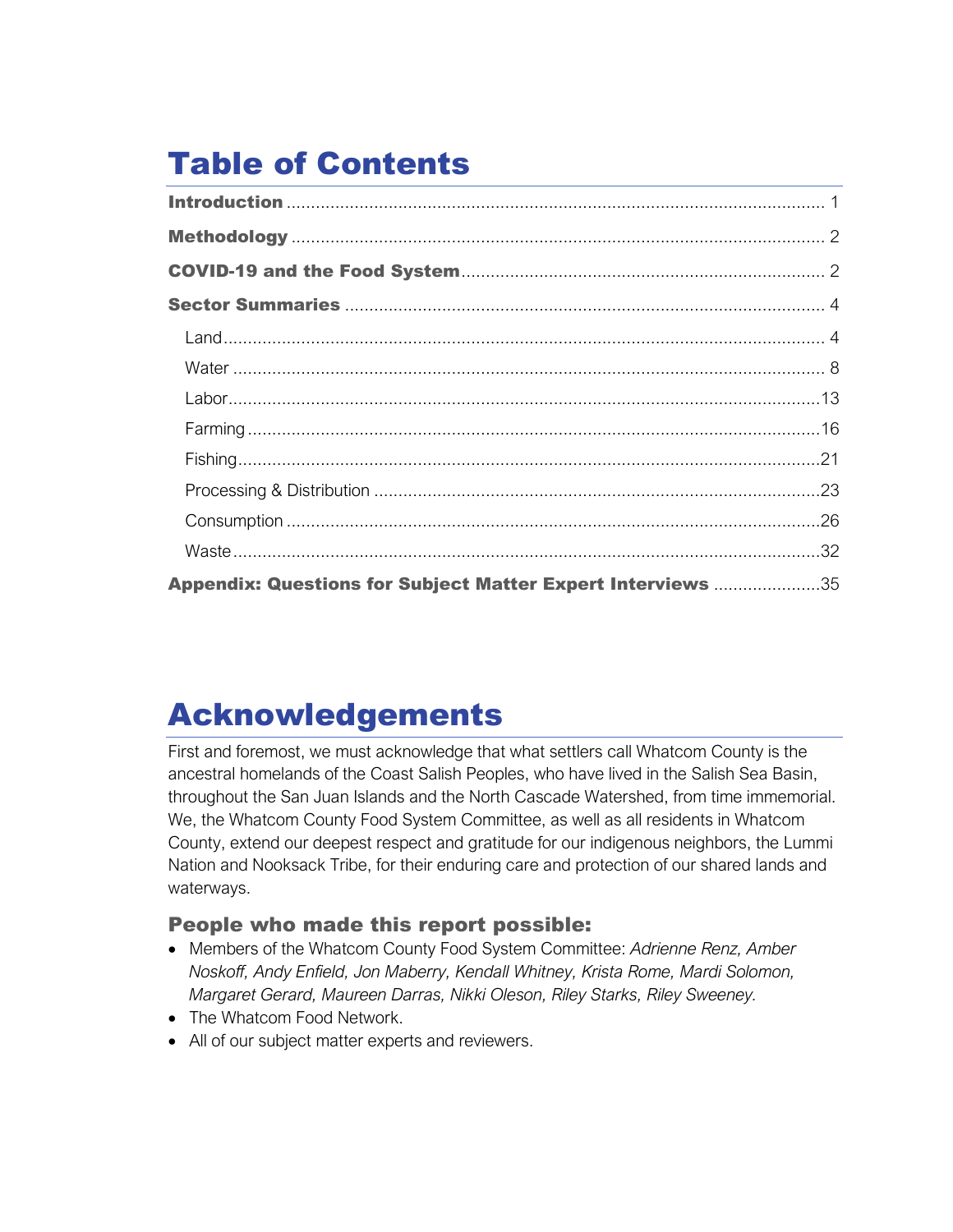# Table of Contents

| Appendix: Questions for Subject Matter Expert Interviews 35 |  |
|-------------------------------------------------------------|--|

# Acknowledgements

First and foremost, we must acknowledge that what settlers call Whatcom County is the ancestral homelands of the Coast Salish Peoples, who have lived in the Salish Sea Basin, throughout the San Juan Islands and the North Cascade Watershed, from time immemorial. We, the Whatcom County Food System Committee, as well as all residents in Whatcom County, extend our deepest respect and gratitude for our indigenous neighbors, the Lummi Nation and Nooksack Tribe, for their enduring care and protection of our shared lands and waterways.

# People who made this report possible:

- Members of the Whatcom County Food System Committee: *Adrienne Renz, Amber Noskoff, Andy Enfield, Jon Maberry, Kendall Whitney, Krista Rome, Mardi Solomon, Margaret Gerard, Maureen Darras, Nikki Oleson, Riley Starks, Riley Sweeney.*
- The Whatcom Food Network.
- All of our subject matter experts and reviewers.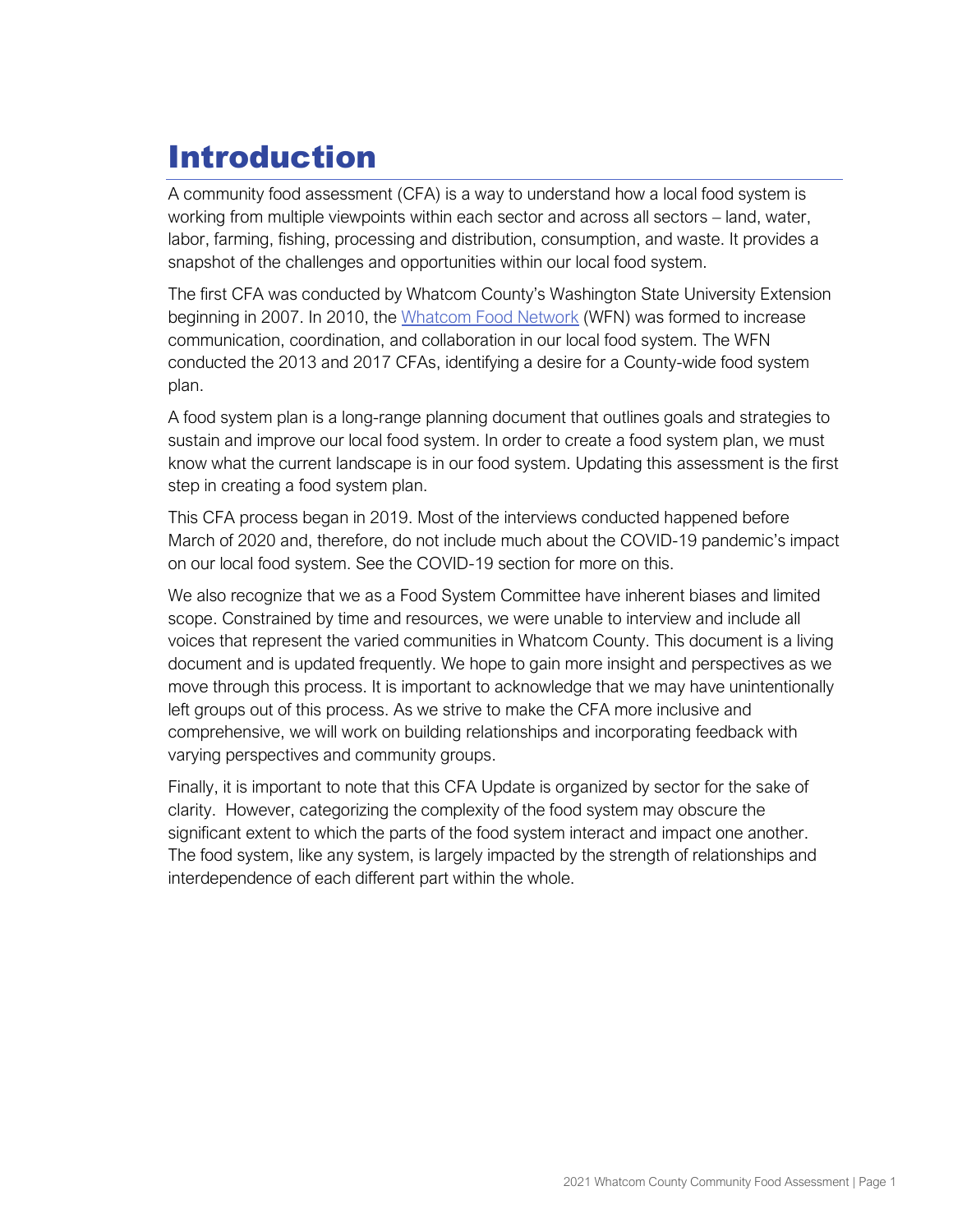# <span id="page-2-0"></span>Introduction

A community food assessment (CFA) is a way to understand how a local food system is working from multiple viewpoints within each sector and across all sectors – land, water, labor, farming, fishing, processing and distribution, consumption, and waste. It provides a snapshot of the challenges and opportunities within our local food system.

The first CFA was conducted by Whatcom County's Washington State University Extension beginning in 2007. In 2010, th[e](https://whatcomfoodnetwork.org/) [Whatcom Food Network](https://whatcomfoodnetwork.org/) (WFN) was formed to increase communication, coordination, and collaboration in our local food system. The WFN conducted the 2013 and 2017 CFAs, identifying a desire for a County-wide food system plan.

A food system plan is a long-range planning document that outlines goals and strategies to sustain and improve our local food system. In order to create a food system plan, we must know what the current landscape is in our food system. Updating this assessment is the first step in creating a food system plan.

This CFA process began in 2019. Most of the interviews conducted happened before March of 2020 and, therefore, do not include much about the COVID-19 pandemic's impact on our local food system. See the COVID-19 section for more on this.

We also recognize that we as a Food System Committee have inherent biases and limited scope. Constrained by time and resources, we were unable to interview and include all voices that represent the varied communities in Whatcom County. This document is a living document and is updated frequently. We hope to gain more insight and perspectives as we move through this process. It is important to acknowledge that we may have unintentionally left groups out of this process. As we strive to make the CFA more inclusive and comprehensive, we will work on building relationships and incorporating feedback with varying perspectives and community groups.

Finally, it is important to note that this CFA Update is organized by sector for the sake of clarity. However, categorizing the complexity of the food system may obscure the significant extent to which the parts of the food system interact and impact one another. The food system, like any system, is largely impacted by the strength of relationships and interdependence of each different part within the whole.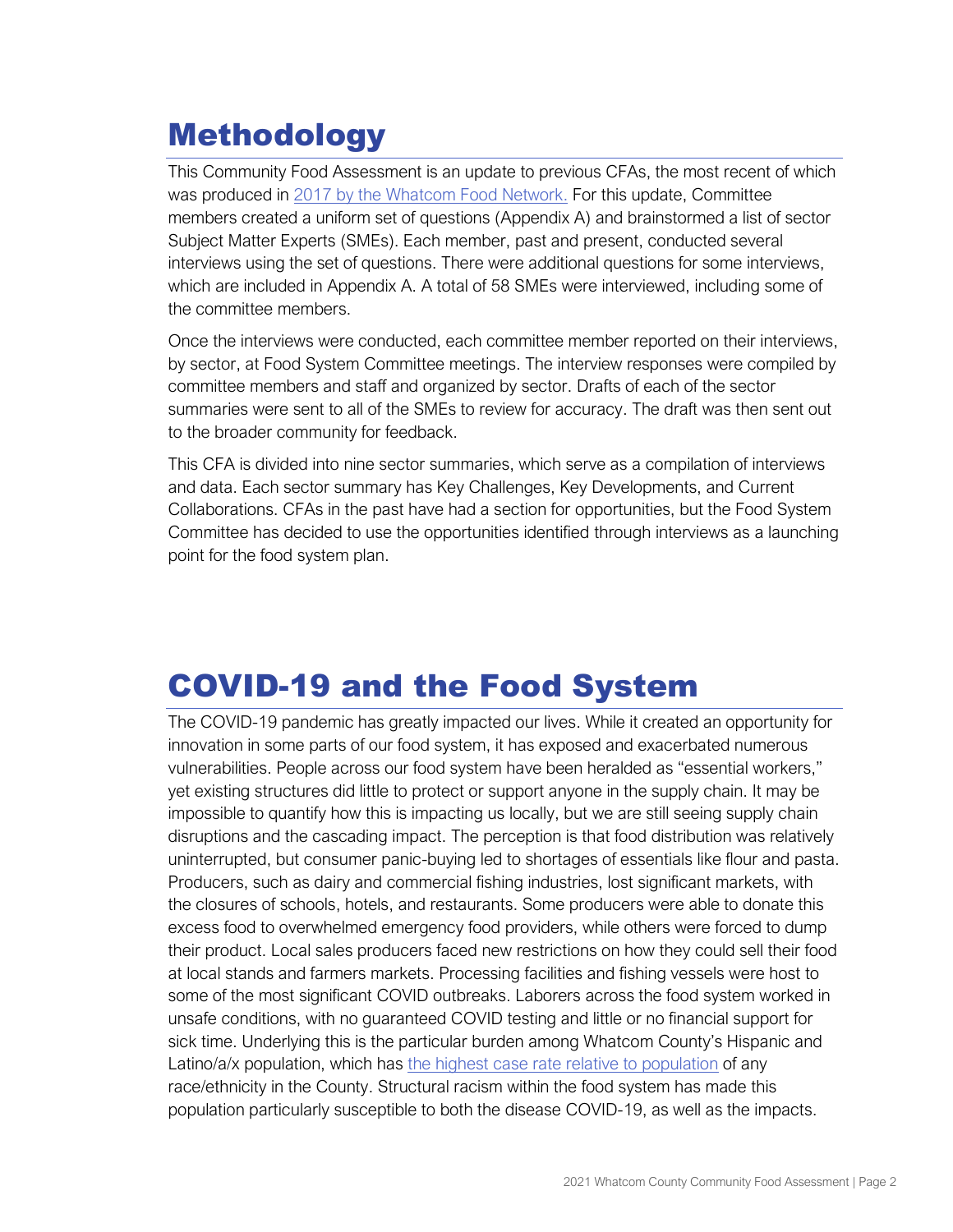# <span id="page-3-0"></span>Methodology

This Community Food Assessment is an update to previous CFAs, the most recent of which was produced in [2017 by the Whatcom Food Network.](https://www.whatcomcounty.us/DocumentCenter/View/54385/Community-Food-Assessment-2017) For this update, Committee members created a uniform set of questions (Appendix A) and brainstormed a list of sector Subject Matter Experts (SMEs). Each member, past and present, conducted several interviews using the set of questions. There were additional questions for some interviews, which are included in Appendix A. A total of 58 SMEs were interviewed, including some of the committee members.

Once the interviews were conducted, each committee member reported on their interviews, by sector, at Food System Committee meetings. The interview responses were compiled by committee members and staff and organized by sector. Drafts of each of the sector summaries were sent to all of the SMEs to review for accuracy. The draft was then sent out to the broader community for feedback.

This CFA is divided into nine sector summaries, which serve as a compilation of interviews and data. Each sector summary has Key Challenges, Key Developments, and Current Collaborations. CFAs in the past have had a section for opportunities, but the Food System Committee has decided to use the opportunities identified through interviews as a launching point for the food system plan.

# <span id="page-3-1"></span>COVID-19 and the Food System

The COVID-19 pandemic has greatly impacted our lives. While it created an opportunity for innovation in some parts of our food system, it has exposed and exacerbated numerous vulnerabilities. People across our food system have been heralded as "essential workers," yet existing structures did little to protect or support anyone in the supply chain. It may be impossible to quantify how this is impacting us locally, but we are still seeing supply chain disruptions and the cascading impact. The perception is that food distribution was relatively uninterrupted, but consumer panic-buying led to shortages of essentials like flour and pasta. Producers, such as dairy and commercial fishing industries, lost significant markets, with the closures of schools, hotels, and restaurants. Some producers were able to donate this excess food to overwhelmed emergency food providers, while others were forced to dump their product. Local sales producers faced new restrictions on how they could sell their food at local stands and farmers markets. Processing facilities and fishing vessels were host to some of the most significant COVID outbreaks. Laborers across the food system worked in unsafe conditions, with no guaranteed COVID testing and little or no financial support for sick time. Underlying this is the particular burden among Whatcom County's Hispanic and Latino/a/x population, which has [the highest case rate relative to population](https://www.whatcomcounty.us/3427/COVID-19-Data#AdWCDChts) of any race/ethnicity in the County. Structural racism within the food system has made this population particularly susceptible to both the disease COVID-19, as well as the impacts.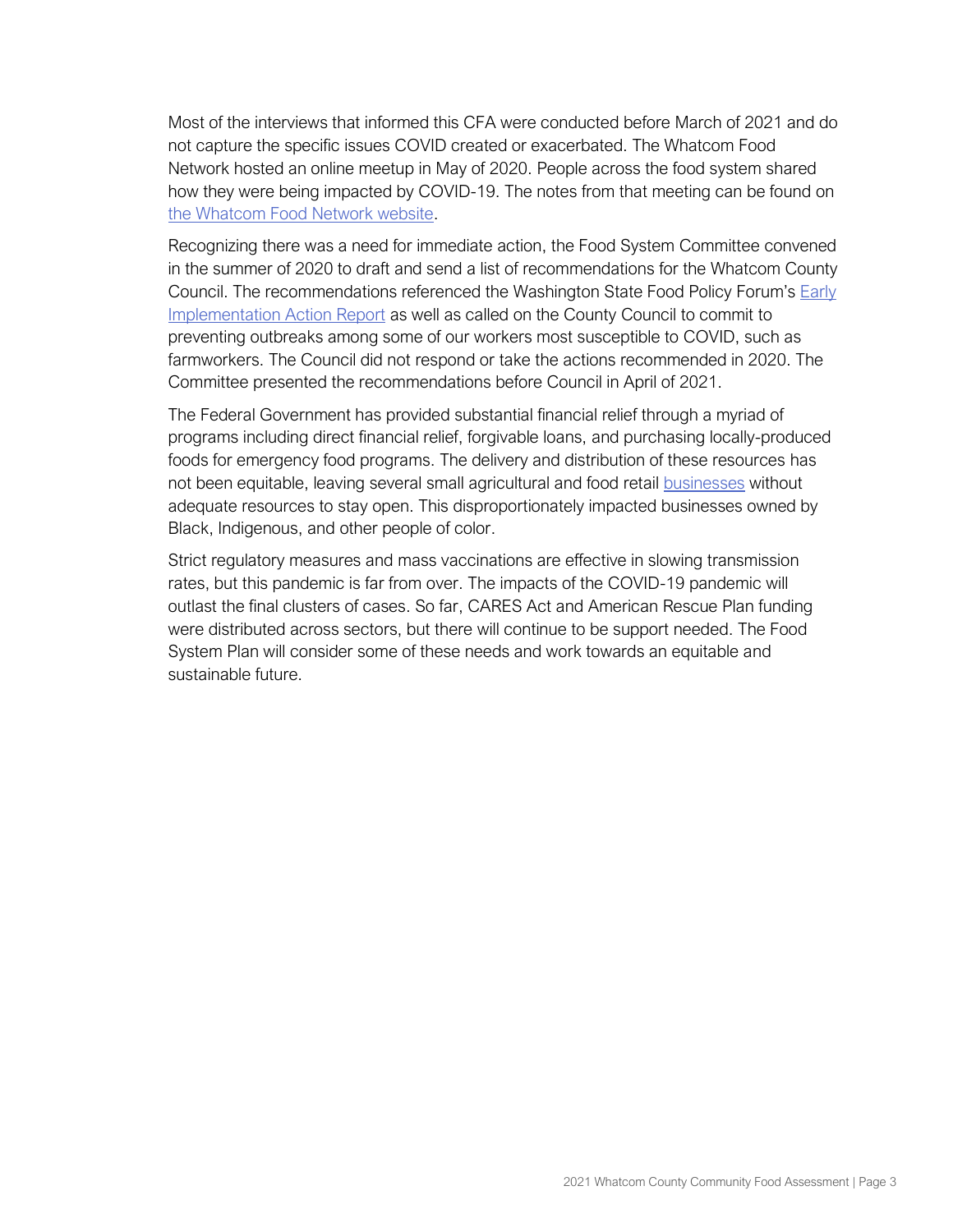Most of the interviews that informed this CFA were conducted before March of 2021 and do not capture the specific issues COVID created or exacerbated. The Whatcom Food Network hosted an online meetup in May of 2020. People across the food system shared how they were being impacted by COVID-19. The notes from that meeting can be found on [the Whatcom Food Network website.](https://whatcomfoodnetwork.org/forums/)

Recognizing there was a need for immediate action, the Food System Committee convened in the summer of 2020 to draft and send a list of recommendations for the Whatcom County Council. The recommendations referenced the Washington State Food Policy Forum's [Early](chrome-extension://efaidnbmnnnibpcajpcglclefindmkaj/viewer.html?pdfurl=https%3A%2F%2Fuploads-ssl.webflow.com%2F5f0507f9cf344a5f8752f27a%2F5f8f4f4cc482cc25f522a243_FPF%2520Early%2520Action%2520Implementation%2520Report%2520August%25205%25202020_final.pdf&clen=1188521&chunk=true)  [Implementation Action Report](chrome-extension://efaidnbmnnnibpcajpcglclefindmkaj/viewer.html?pdfurl=https%3A%2F%2Fuploads-ssl.webflow.com%2F5f0507f9cf344a5f8752f27a%2F5f8f4f4cc482cc25f522a243_FPF%2520Early%2520Action%2520Implementation%2520Report%2520August%25205%25202020_final.pdf&clen=1188521&chunk=true) as well as called on the County Council to commit to preventing outbreaks among some of our workers most susceptible to COVID, such as farmworkers. The Council did not respond or take the actions recommended in 2020. The Committee presented the recommendations before Council in April of 2021.

The Federal Government has provided substantial financial relief through a myriad of programs including direct financial relief, forgivable loans, and purchasing locally-produced foods for emergency food programs. The delivery and distribution of these resources has not been equitable, leaving several small agricultural and food retail businesses without adequate resources to stay open. This disproportionately impacted businesses owned by Black, Indigenous, and other people of color.

Strict regulatory measures and mass vaccinations are effective in slowing transmission rates, but this pandemic is far from over. The impacts of the COVID-19 pandemic will outlast the final clusters of cases. So far, CARES Act and American Rescue Plan funding were distributed across sectors, but there will continue to be support needed. The Food System Plan will consider some of these needs and work towards an equitable and sustainable future.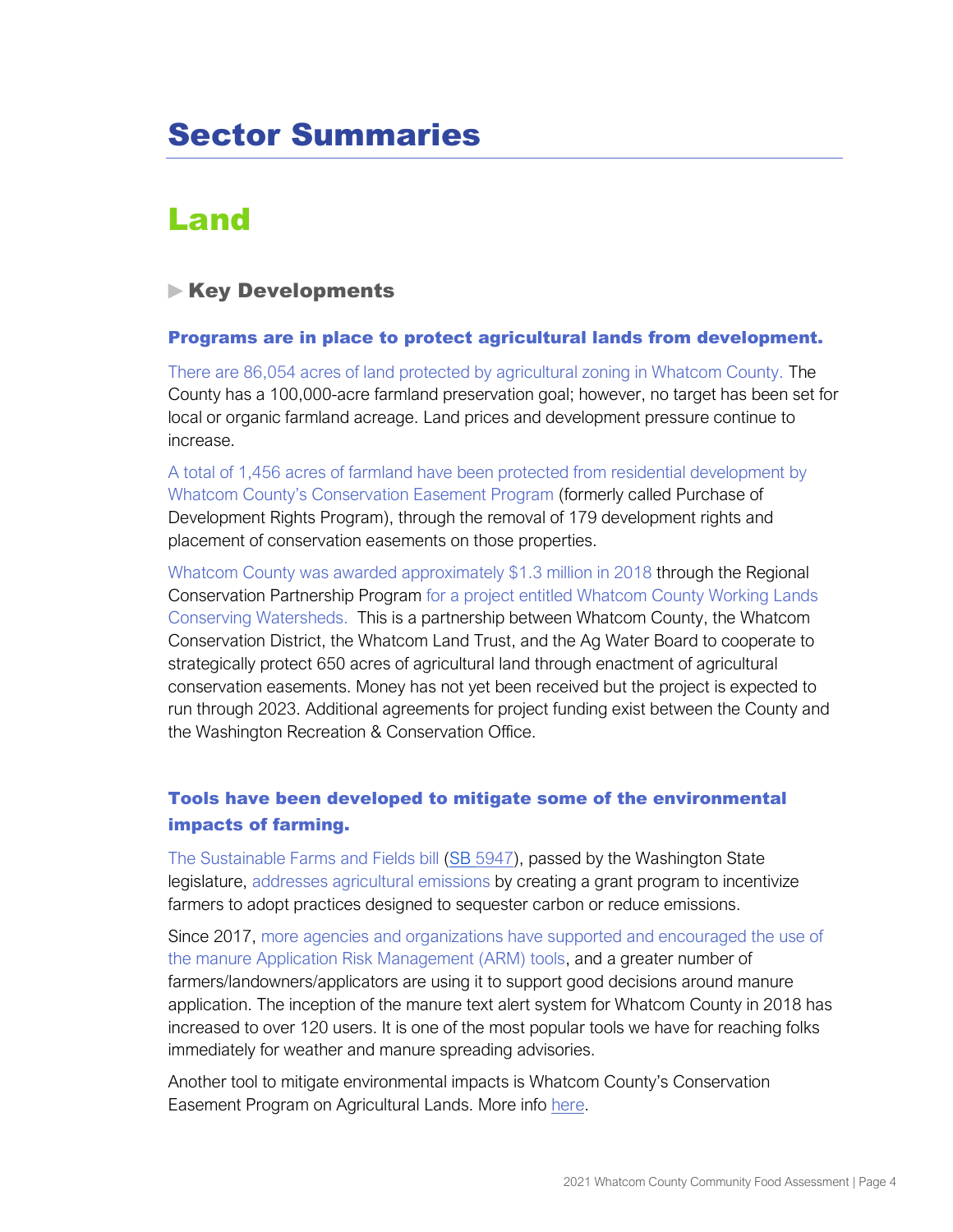# <span id="page-5-0"></span>Sector Summaries

# <span id="page-5-1"></span>Land

# **Key Developments**

#### Programs are in place to protect agricultural lands from development.

There are 86,054 acres of land protected by agricultural zoning in Whatcom County. The County has a 100,000-acre farmland preservation goal; however, no target has been set for local or organic farmland acreage. Land prices and development pressure continue to increase.

A total of 1,456 acres of farmland have been protected from residential development by Whatcom County's Conservation Easement Program (formerly called Purchase of Development Rights Program), through the removal of 179 development rights and placement of conservation easements on those properties.

Whatcom County was awarded approximately \$1.3 million in 2018 through the Regional Conservation Partnership Program for a project entitled Whatcom County Working Lands Conserving Watersheds. This is a partnership between Whatcom County, the Whatcom Conservation District, the Whatcom Land Trust, and the Ag Water Board to cooperate to strategically protect 650 acres of agricultural land through enactment of agricultural conservation easements. Money has not yet been received but the project is expected to run through 2023. Additional agreements for project funding exist between the County and the Washington Recreation & Conservation Office.

# Tools have been developed to mitigate some of the environmental impacts of farming.

The Sustainable Farms and Fields bill [\(SB 5947\)](https://app.leg.wa.gov/billsummary?BillNumber=5947&Year=2019&Initiative=false), passed by the Washington State legislature, addresses agricultural emissions by creating a grant program to incentivize farmers to adopt practices designed to sequester carbon or reduce emissions.

Since 2017, more agencies and organizations have supported and encouraged the use of the manure Application Risk Management (ARM) tools, and a greater number of farmers/landowners/applicators are using it to support good decisions around manure application. The inception of the manure text alert system for Whatcom County in 2018 has increased to over 120 users. It is one of the most popular tools we have for reaching folks immediately for weather and manure spreading advisories.

Another tool to mitigate environmental impacts is Whatcom County's Conservation Easement Program on Agricultural Lands. More info [here.](https://www.whatcomcounty.us/745/Farm-Plans)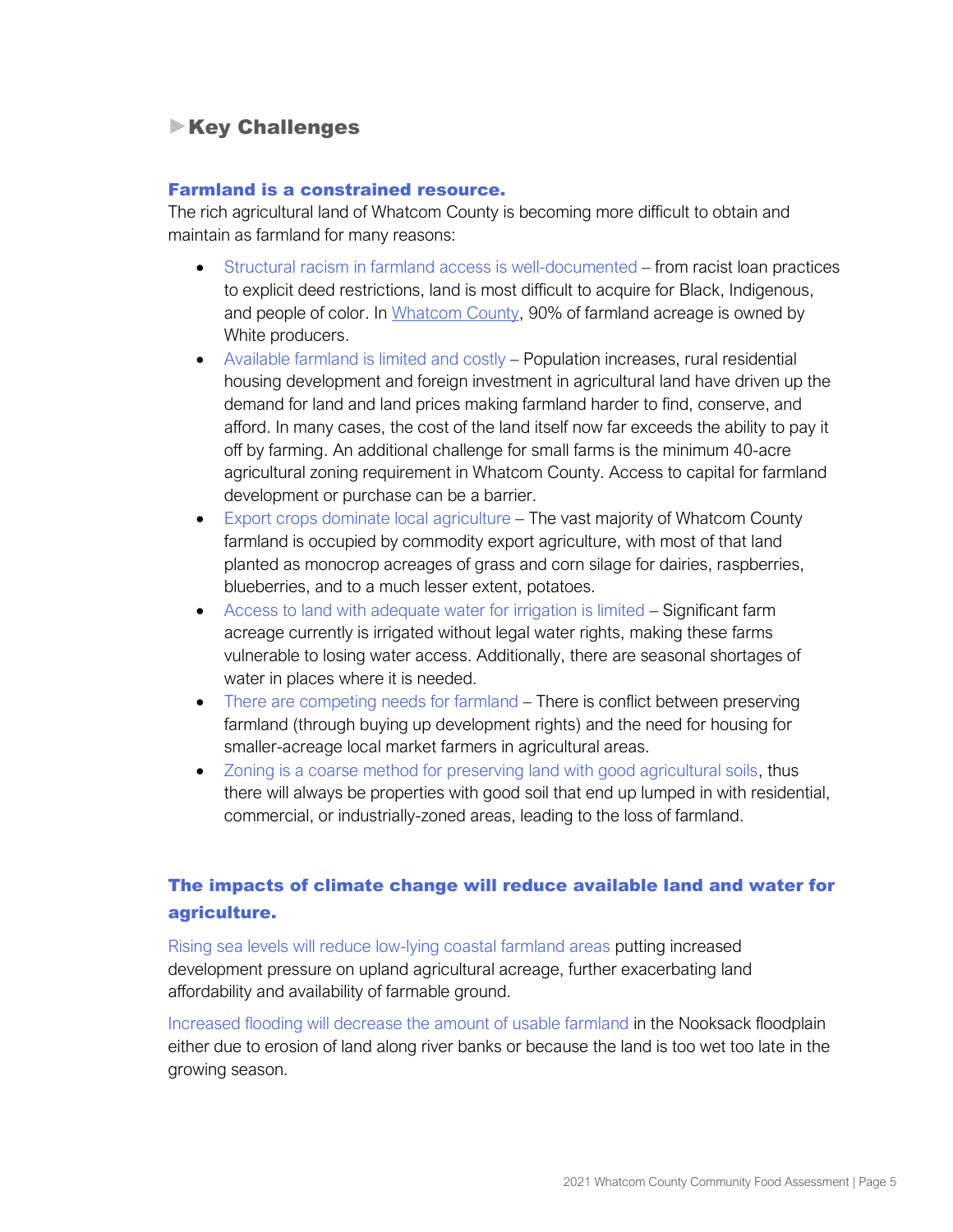# **Key Challenges**

#### Farmland is a constrained resource.

The rich agricultural land of Whatcom County is becoming more difficult to obtain and maintain as farmland for many reasons:

- Structural racism in farmland access is well-documented from racist loan practices to explicit deed restrictions, land is most difficult to acquire for Black, Indigenous, and people of color. In [Whatcom](https://www.nass.usda.gov/Publications/AgCensus/2017/Online_Resources/Race,_Ethnicity_and_Gender_Profiles/Washington/cpd53073.pdf) County, 90% of farmland acreage is owned by White producers.
- Available farmland is limited and costly Population increases, rural residential housing development and foreign investment in agricultural land have driven up the demand for land and land prices making farmland harder to find, conserve, and afford. In many cases, the cost of the land itself now far exceeds the ability to pay it off by farming. An additional challenge for small farms is the minimum 40-acre agricultural zoning requirement in Whatcom County. Access to capital for farmland development or purchase can be a barrier.
- Export crops dominate local agriculture The vast majority of Whatcom County farmland is occupied by commodity export agriculture, with most of that land planted as monocrop acreages of grass and corn silage for dairies, raspberries, blueberries, and to a much lesser extent, potatoes.
- Access to land with adequate water for irrigation is limited Significant farm acreage currently is irrigated without legal water rights, making these farms vulnerable to losing water access. Additionally, there are seasonal shortages of water in places where it is needed.
- There are competing needs for farmland There is conflict between preserving farmland (through buying up development rights) and the need for housing for smaller-acreage local market farmers in agricultural areas.
- Zoning is a coarse method for preserving land with good agricultural soils, thus there will always be properties with good soil that end up lumped in with residential, commercial, or industrially-zoned areas, leading to the loss of farmland.

# The impacts of climate change will reduce available land and water for agriculture.

Rising sea levels will reduce low-lying coastal farmland areas putting increased development pressure on upland agricultural acreage, further exacerbating land affordability and availability of farmable ground.

Increased flooding will decrease the amount of usable farmland in the Nooksack floodplain either due to erosion of land along river banks or because the land is too wet too late in the growing season.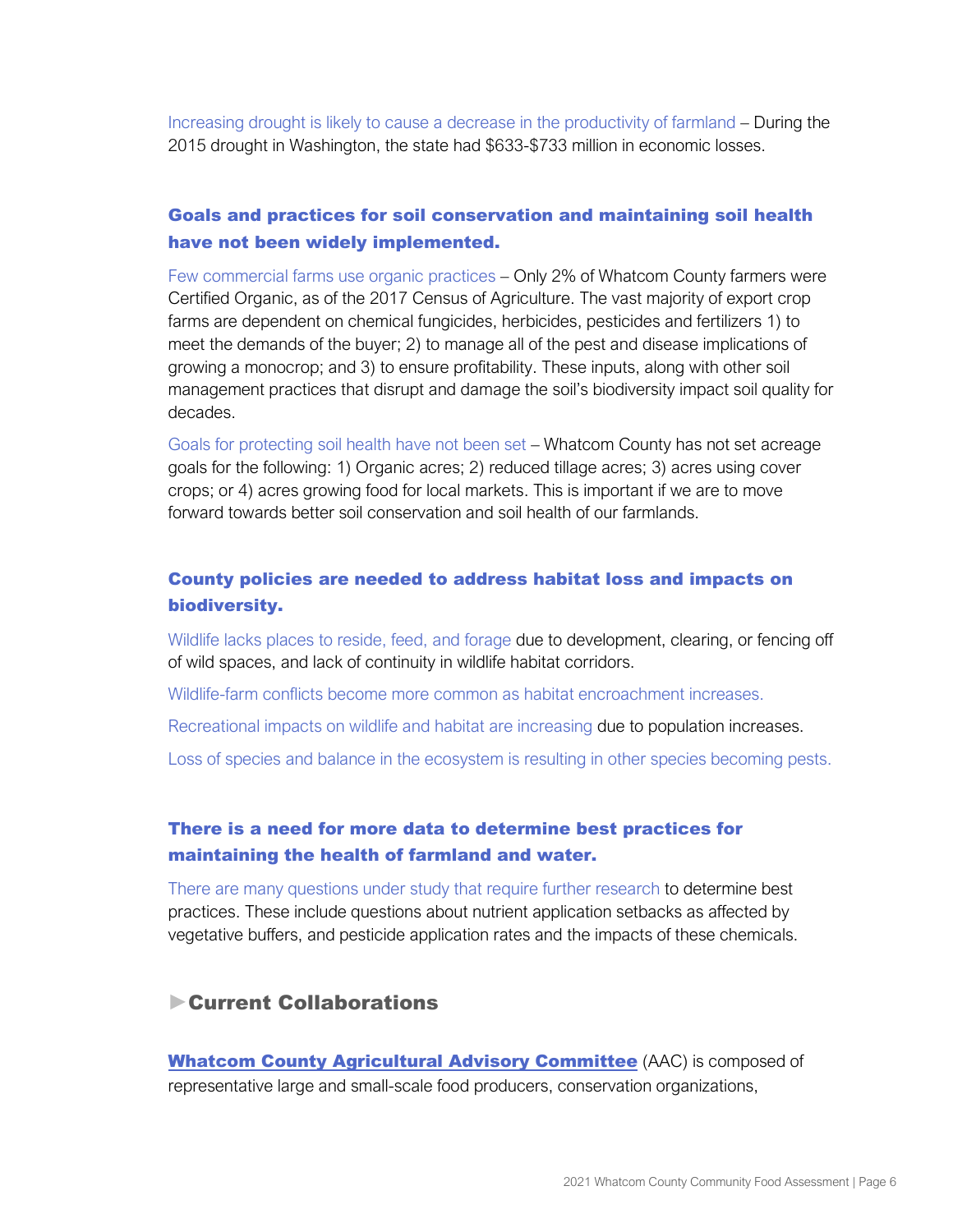Increasing drought is likely to cause a decrease in the productivity of farmland – During the 2015 drought in Washington, the state had \$633-\$733 million in economic losses.

# Goals and practices for soil conservation and maintaining soil health have not been widely implemented.

Few commercial farms use organic practices – Only 2% of Whatcom County farmers were Certified Organic, as of the 2017 Census of Agriculture. The vast majority of export crop farms are dependent on chemical fungicides, herbicides, pesticides and fertilizers 1) to meet the demands of the buyer; 2) to manage all of the pest and disease implications of growing a monocrop; and 3) to ensure profitability. These inputs, along with other soil management practices that disrupt and damage the soil's biodiversity impact soil quality for decades.

Goals for protecting soil health have not been set – Whatcom County has not set acreage goals for the following: 1) Organic acres; 2) reduced tillage acres; 3) acres using cover crops; or 4) acres growing food for local markets. This is important if we are to move forward towards better soil conservation and soil health of our farmlands.

## County policies are needed to address habitat loss and impacts on biodiversity.

Wildlife lacks places to reside, feed, and forage due to development, clearing, or fencing off of wild spaces, and lack of continuity in wildlife habitat corridors.

Wildlife-farm conflicts become more common as habitat encroachment increases.

Recreational impacts on wildlife and habitat are increasing due to population increases.

Loss of species and balance in the ecosystem is resulting in other species becoming pests.

# There is a need for more data to determine best practices for maintaining the health of farmland and water.

There are many questions under study that require further research to determine best practices. These include questions about nutrient application setbacks as affected by vegetative buffers, and pesticide application rates and the impacts of these chemicals.

# Current Collaborations

[Whatcom County Agricultural Advisory Committee](http://www.whatcomcounty.us/241/Agricultural-Advisory-Committee) (AAC) is composed of representative large and small-scale food producers, conservation organizations,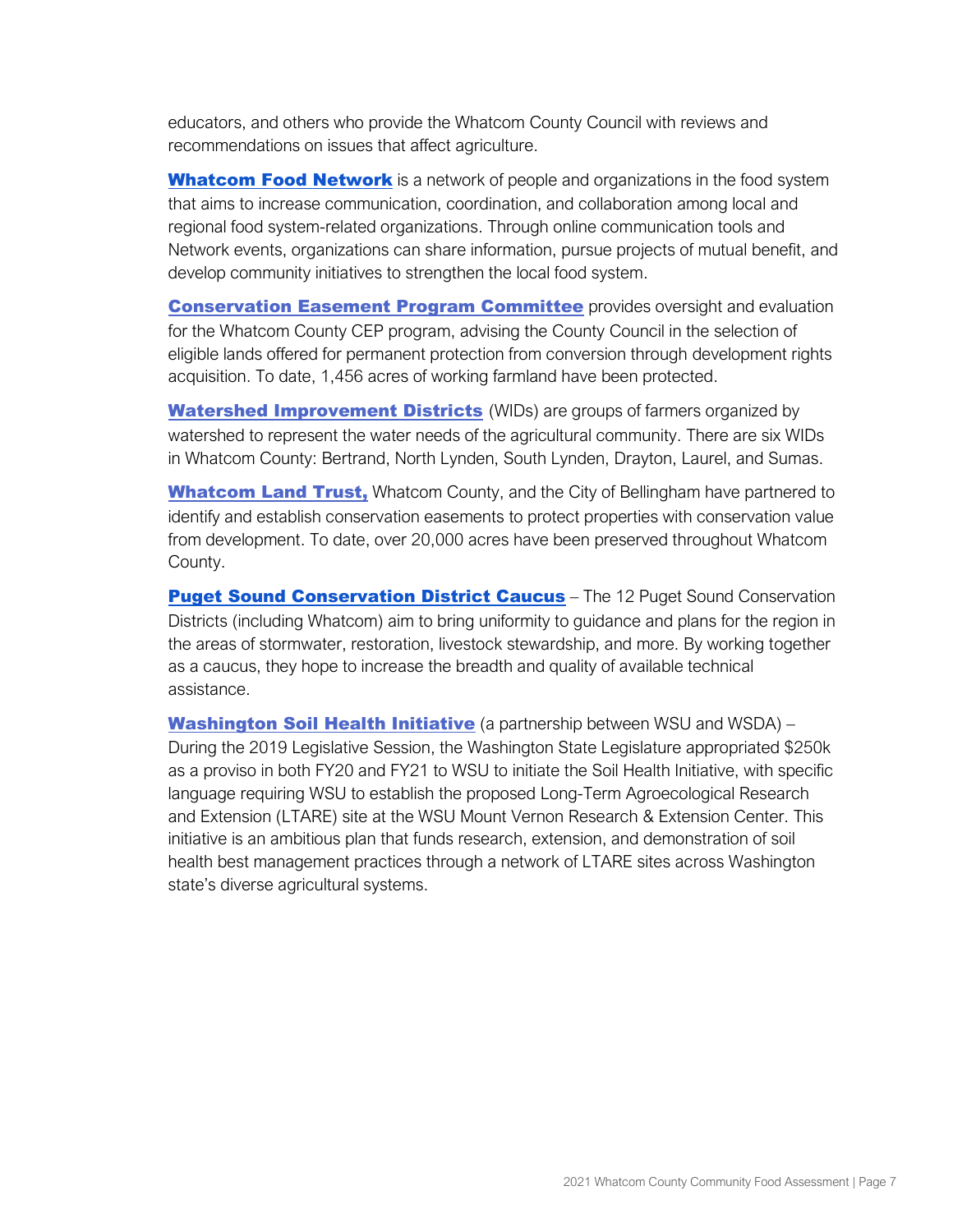educators, and others who provide the Whatcom County Council with reviews and recommendations on issues that affect agriculture.

[Whatcom Food Network](https://whatcomfoodnetwork.org/) is a network of people and organizations in the food system that aims to increase communication, coordination, and collaboration among local and regional food system-related organizations. Through online communication tools and Network events, organizations can share information, pursue projects of mutual benefit, and develop community initiatives to strengthen the local food system.

**[Conservation Easement Program Committee](http://www.co.whatcom.wa.us/573/Purchase-of-Development-Rights-Oversight)** provides oversight and evaluation for the Whatcom County CEP program, advising the County Council in the selection of eligible lands offered for permanent protection from conversion through development rights acquisition. To date, 1,456 acres of working farmland have been protected.

[Watershed Improvement Districts](http://www.agwaterboard.com/) (WIDs) are groups of farmers organized by watershed to represent the water needs of the agricultural community. There are six WIDs in Whatcom County: Bertrand, North Lynden, South Lynden, Drayton, Laurel, and Sumas.

[Whatcom Land Trust,](https://whatcomlandtrust.org/) Whatcom County, and the City of Bellingham have partnered to identify and establish conservation easements to protect properties with conservation value from development. To date, over 20,000 acres have been preserved throughout Whatcom County.

**[Puget Sound Conservation District Caucus](http://www.pugetsoundcd.org/PSCD-Caucus-Mission-Vision-Value-statements.html)** – The 12 Puget Sound Conservation Districts (including Whatcom) aim to bring uniformity to guidance and plans for the region in the areas of stormwater, restoration, livestock stewardship, and more. By working together as a caucus, they hope to increase the breadth and quality of available technical assistance.

**[Washington Soil Health Initiative](http://csanr.wsu.edu/program-areas/soil-health-initiative/)** (a partnership between WSU and WSDA) – During the 2019 Legislative Session, the Washington State Legislature appropriated \$250k as a proviso in both FY20 and FY21 to WSU to initiate the Soil Health Initiative, with specific language requiring WSU to establish the proposed Long-Term Agroecological Research and Extension (LTARE) site at the WSU Mount Vernon Research & Extension Center. This initiative is an ambitious plan that funds research, extension, and demonstration of soil health best management practices through a network of LTARE sites across Washington state's diverse agricultural systems.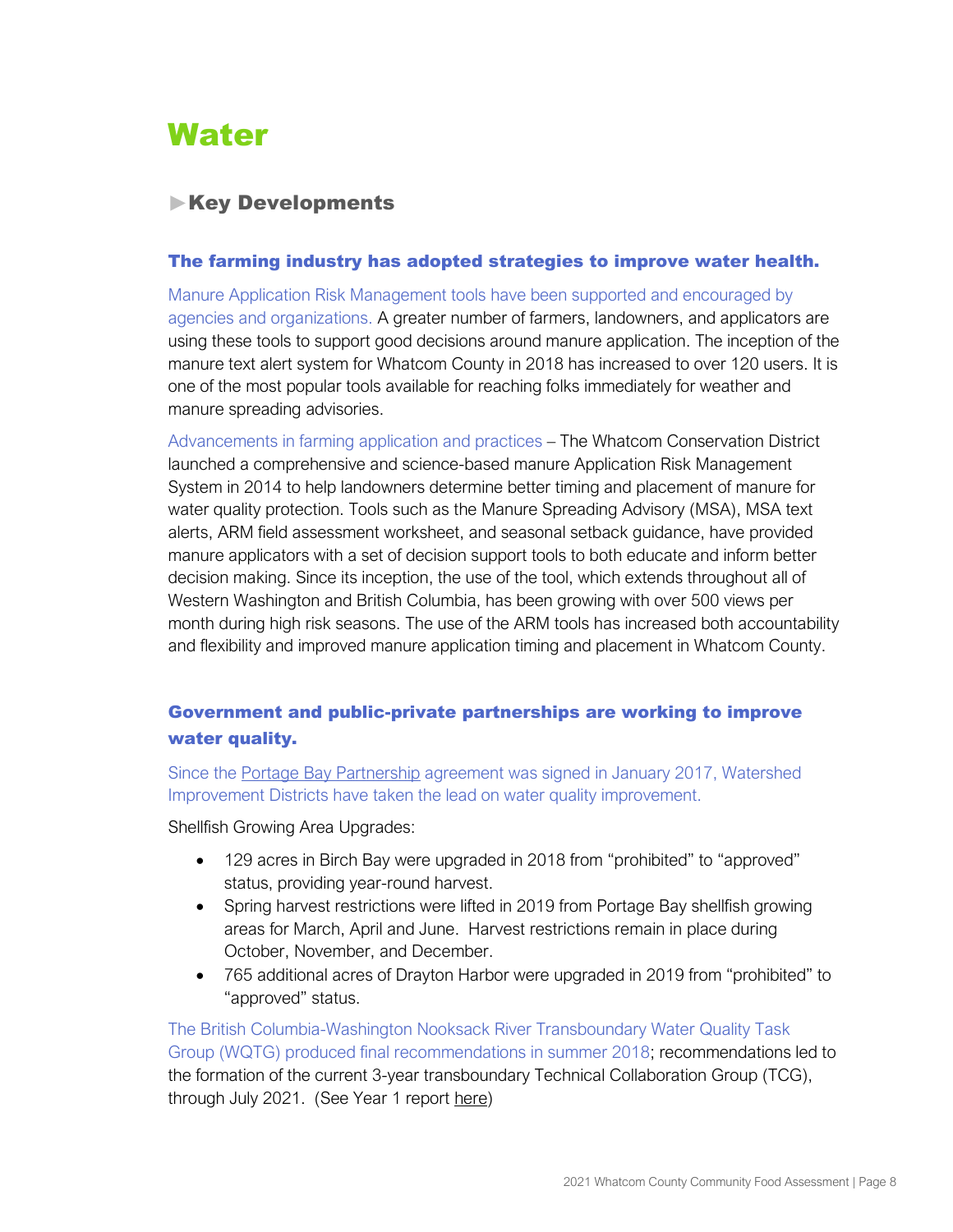# <span id="page-9-0"></span>**Water**

# **Key Developments**

#### The farming industry has adopted strategies to improve water health.

Manure Application Risk Management tools have been supported and encouraged by agencies and organizations. A greater number of farmers, landowners, and applicators are using these tools to support good decisions around manure application. The inception of the manure text alert system for Whatcom County in 2018 has increased to over 120 users. It is one of the most popular tools available for reaching folks immediately for weather and manure spreading advisories.

Advancements in farming application and practices – The Whatcom Conservation District launched a comprehensive and science-based manure Application Risk Management System in 2014 to help landowners determine better timing and placement of manure for water quality protection. Tools such as the Manure Spreading Advisory (MSA), MSA text alerts, ARM field assessment worksheet, and seasonal setback guidance, have provided manure applicators with a set of decision support tools to both educate and inform better decision making. Since its inception, the use of the tool, which extends throughout all of Western Washington and British Columbia, has been growing with over 500 views per month during high risk seasons. The use of the ARM tools has increased both accountability and flexibility and improved manure application timing and placement in Whatcom County.

# Government and public-private partnerships are working to improve water quality.

Since th[e](http://www.portagebaypartnership.org/) [Portage Bay Partnership](http://www.portagebaypartnership.org/) agreement was signed in January 2017, Watershed Improvement Districts have taken the lead on water quality improvement.

Shellfish Growing Area Upgrades:

- 129 acres in Birch Bay were upgraded in 2018 from "prohibited" to "approved" status, providing year-round harvest.
- Spring harvest restrictions were lifted in 2019 from Portage Bay shellfish growing areas for March, April and June. Harvest restrictions remain in place during October, November, and December.
- 765 additional acres of Drayton Harbor were upgraded in 2019 from "prohibited" to "approved" status.

The British Columbia-Washington Nooksack River Transboundary Water Quality Task Group (WQTG) produced final recommendations in summer 2018; recommendations led to the formation of the current 3-year transboundary Technical Collaboration Group (TCG), [t](https://www.whatcomcounty.us/DocumentCenter/View/42521/2019-07-31-NRTTCG-FNL)hrough July 2021. (See Year 1 report [here\)](https://www.whatcomcounty.us/DocumentCenter/View/42521/2019-07-31-NRTTCG-FNL)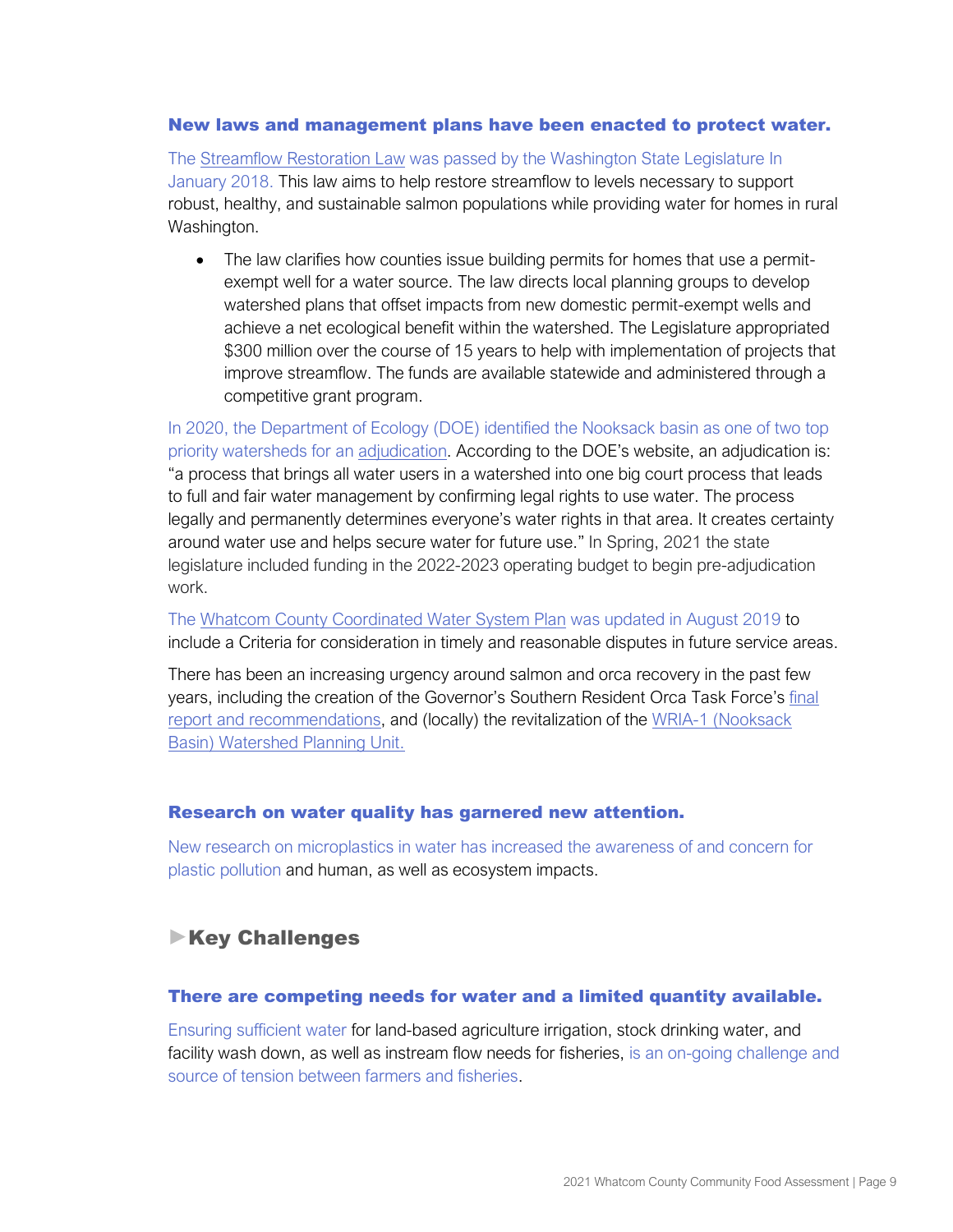#### New laws and management plans have been enacted to protect water.

The [Streamflow Restoration Law](https://app.leg.wa.gov/RCW/default.aspx?cite=90.94) was passed by the Washington State Legislature In January 2018. This law aims to help restore streamflow to levels necessary to support robust, healthy, and sustainable salmon populations while providing water for homes in rural Washington.

• The law clarifies how counties issue building permits for homes that use a permitexempt well for a water source. The law directs local planning groups to develop watershed plans that offset impacts from new domestic permit-exempt wells and achieve a net ecological benefit within the watershed. The Legislature appropriated \$300 million over the course of 15 years to help with implementation of projects that improve streamflow. The funds are available statewide and administered through a competitive grant program.

In 2020, the Department of Ecology (DOE) identified the Nooksack basin as one of two top priority watersheds for an [adjudication](https://ecology.wa.gov/Blog/Posts/November-2020/Adjudication-in-the-Nooksack-Basin). According to the DOE's website, an adjudication is: "a process that brings all water users in a watershed into one big court process that leads to full and fair water management by confirming legal rights to use water. The process legally and permanently determines everyone's water rights in that area. It creates certainty around water use and helps secure water for future use." In Spring, 2021 the state legislature included funding in the 2022-2023 operating budget to begin pre-adjudication work.

The [Whatcom County Coordinated Water System Plan](https://www.whatcomcounty.us/DocumentCenter/View/24740/2019---Whatcom-County-Coordinated-Water-System-Plan-CWSP?bidId=) was updated in August 2019 to include a Criteria for consideration in timely and reasonable disputes in future service areas.

There has been an increasing urgency around salmon and orca recovery in the past few years, including the creation of the Governor's [Southern Resident Orca Task Force](https://www.governor.wa.gov/issues/issues/energy-environment/southern-resident-orca-recovery/task-force)'[s](https://www.governor.wa.gov/sites/default/files/OrcaTaskForce_FinalReportandRecommendations_11.07.19.pdf) [final](https://www.governor.wa.gov/sites/default/files/OrcaTaskForce_FinalReportandRecommendations_11.07.19.pdf)  [report and recommendations,](https://www.governor.wa.gov/sites/default/files/OrcaTaskForce_FinalReportandRecommendations_11.07.19.pdf) and (locally) the revitalization of th[e](https://wria1project.whatcomcounty.org/) [WRIA-1 \(Nooksack](https://wria1project.whatcomcounty.org/)  [Basin\) Watershed Planning Unit.](https://wria1project.whatcomcounty.org/)

#### Research on water quality has garnered new attention.

New research on microplastics in water has increased the awareness of and concern for plastic pollution and human, as well as ecosystem impacts.

# **Key Challenges**

#### There are competing needs for water and a limited quantity available.

Ensuring sufficient water for land-based agriculture irrigation, stock drinking water, and facility wash down, as well as instream flow needs for fisheries, is an on-going challenge and source of tension between farmers and fisheries.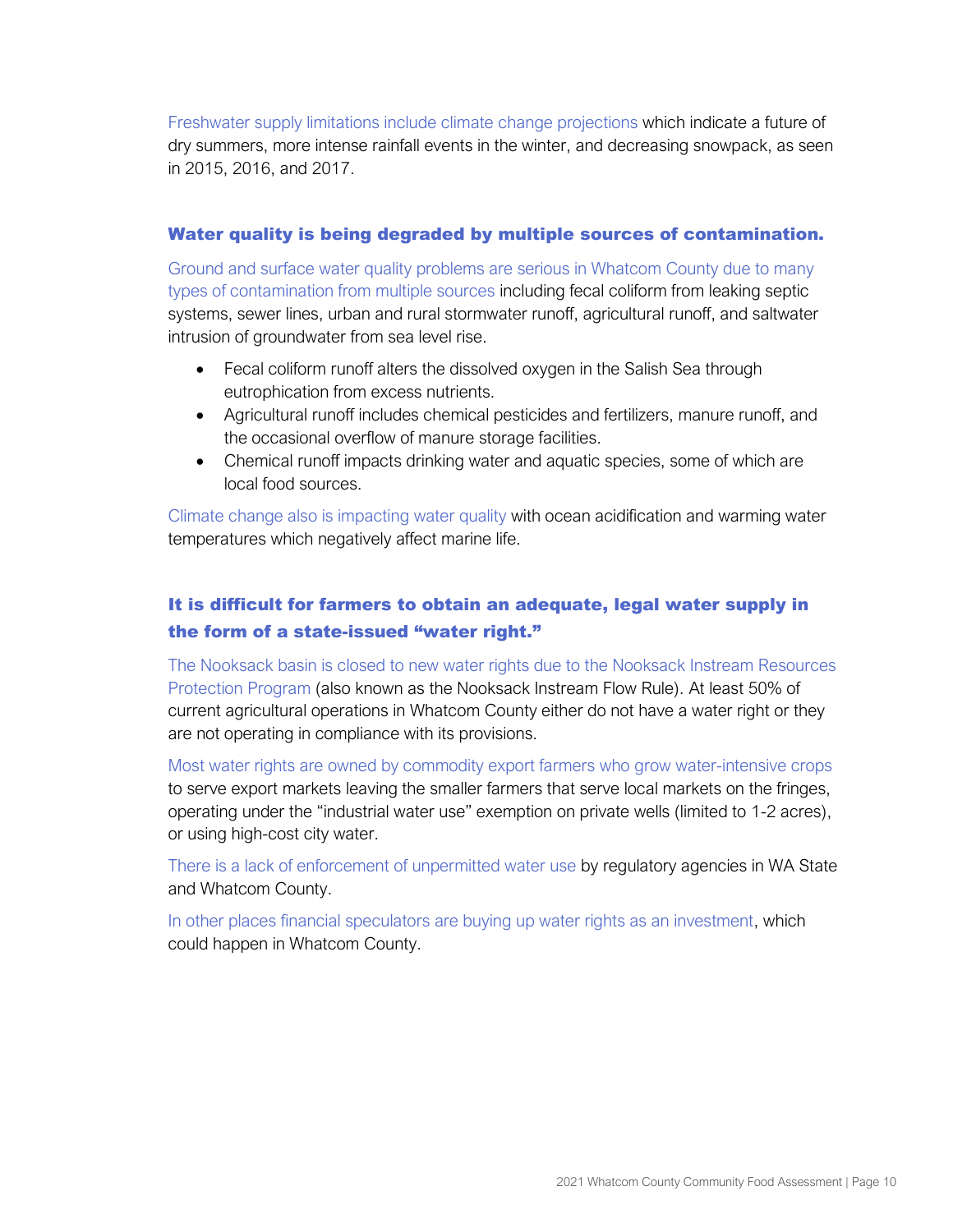Freshwater supply limitations include climate change projections which indicate a future of dry summers, more intense rainfall events in the winter, and decreasing snowpack, as seen in 2015, 2016, and 2017.

#### Water quality is being degraded by multiple sources of contamination.

Ground and surface water quality problems are serious in Whatcom County due to many types of contamination from multiple sources including fecal coliform from leaking septic systems, sewer lines, urban and rural stormwater runoff, agricultural runoff, and saltwater intrusion of groundwater from sea level rise.

- Fecal coliform runoff alters the dissolved oxygen in the Salish Sea through eutrophication from excess nutrients.
- Agricultural runoff includes chemical pesticides and fertilizers, manure runoff, and the occasional overflow of manure storage facilities.
- Chemical runoff impacts drinking water and aquatic species, some of which are local food sources.

Climate change also is impacting water quality with ocean acidification and warming water temperatures which negatively affect marine life.

# It is difficult for farmers to obtain an adequate, legal water supply in the form of a state-issued "water right."

The Nooksack basin is closed to new water rights due to the Nooksack Instream Resources Protection Program (also known as the Nooksack Instream Flow Rule). At least 50% of current agricultural operations in Whatcom County either do not have a water right or they are not operating in compliance with its provisions.

Most water rights are owned by commodity export farmers who grow water-intensive crops to serve export markets leaving the smaller farmers that serve local markets on the fringes, operating under the "industrial water use" exemption on private wells (limited to 1-2 acres), or using high-cost city water.

There is a lack of enforcement of unpermitted water use by regulatory agencies in WA State and Whatcom County.

In other places financial speculators are buying up water rights as an investment, which could happen in Whatcom County.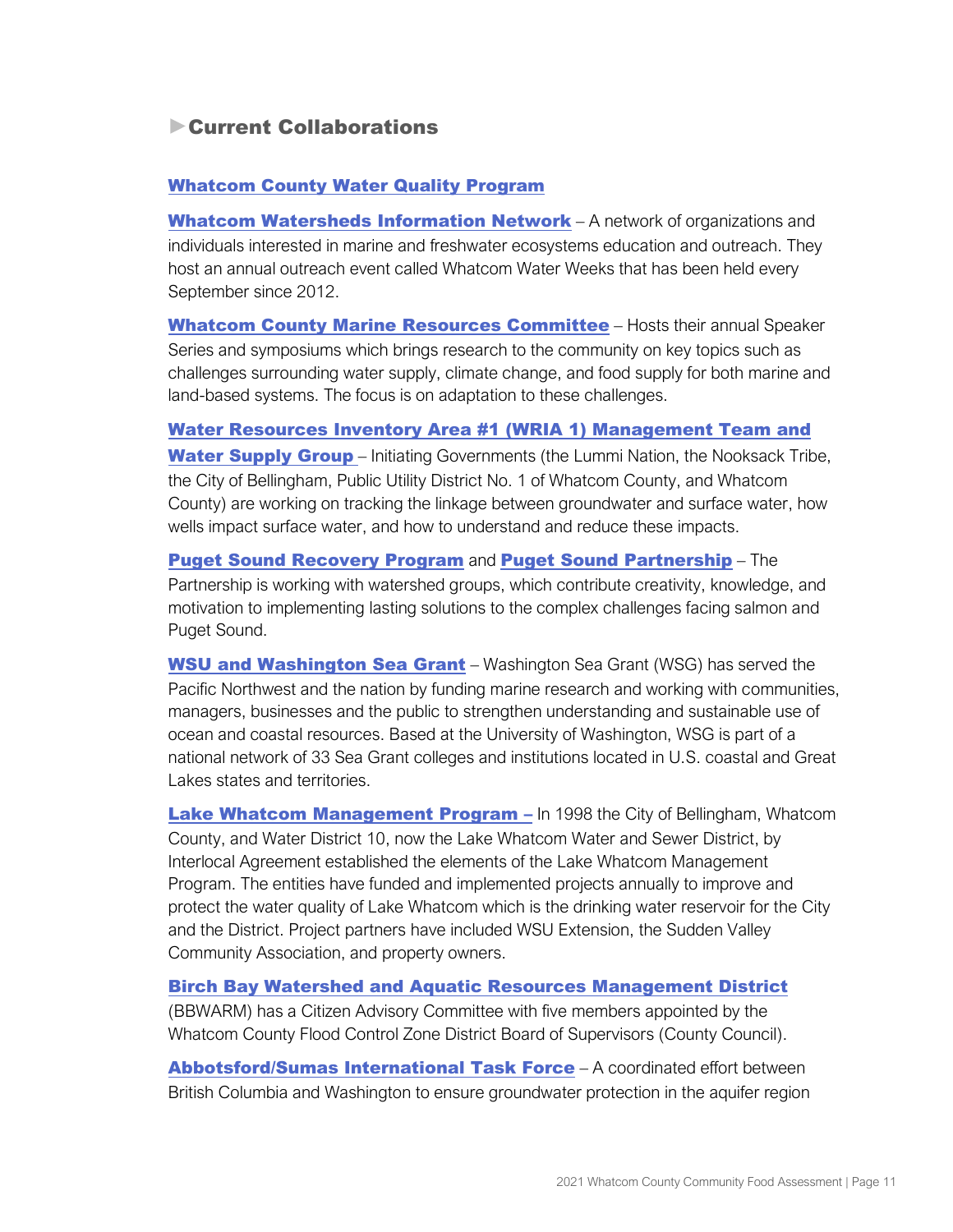# Current Collaborations

## [Whatcom County Water](https://www.whatcomcounty.us/1072/Water-Quality) Quality Program

[Whatcom Watersheds Information Network](http://www.whatcomwin.org/) - A network of organizations and individuals interested in marine and freshwater ecosystems education and outreach. They host an annual outreach event called Whatcom Water Weeks that has been held every September since 2012.

[Whatcom County Marine Resources](http://www.mrc.whatcomcounty.org/) Committee - Hosts their annual Speaker Series and symposiums which brings research to the community on key topics such as challenges surrounding water supply, climate change, and food supply for both marine and land-based systems. The focus is on adaptation to these challenges.

[Water Resources Inventory Area #1 \(WRIA](https://wria1project.whatcomcounty.org/) 1) Management Team and [Water Supply Group](https://wria1project.whatcomcounty.org/) – Initiating Governments (the Lummi Nation, the Nooksack Tribe, the City of Bellingham, Public Utility District No. 1 of Whatcom County, and Whatcom County) are working on tracking the linkage between groundwater and surface water, how wells impact surface water, and how to understand and reduce these impacts.

[Puget Sound Recovery Program](http://www.psp.wa.gov/salmon-recovery-status.php) and [Puget Sound Partnership](http://psp.wa.gov/) – The Partnership is working with watershed groups, which contribute creativity, knowledge, and motivation to implementing lasting solutions to the complex challenges facing salmon and Puget Sound.

**[WSU and Washington Sea Grant](https://wsg.washington.edu/)** – Washington Sea Grant (WSG) has served the Pacific Northwest and the nation by funding marine research and working with communities, managers, businesses and the public to strengthen understanding and sustainable use of ocean and coastal resources. Based at the University of Washington, WSG is part of a national network of 33 Sea Grant colleges and institutions located in U.S. coastal and Great Lakes states and territories.

[Lake Whatcom Management Program](http://www.lakewhatcom.whatcomcounty.org/) - In 1998 the City of Bellingham, Whatcom County, and Water District 10, now the Lake Whatcom Water and Sewer District, by Interlocal Agreement established the elements of the Lake Whatcom Management Program. The entities have funded and implemented projects annually to improve and protect the water quality of Lake Whatcom which is the drinking water reservoir for the City and the District. Project partners have included WSU Extension, the Sudden Valley Community Association, and property owners.

[Birch Bay Watershed and Aquatic Resources Management District](http://www.bbwarm.whatcomcounty.org/)

(BBWARM) has a Citizen Advisory Committee with five members appointed by the Whatcom County Flood Control Zone District Board of Supervisors (County Council).

[Abbotsford/Sumas International Task Force](http://www.env.gov.bc.ca/wsd/plan_protect_sustain/groundwater/aquifers/absumas.html) - A coordinated effort between British Columbia and Washington to ensure groundwater protection in the aquifer region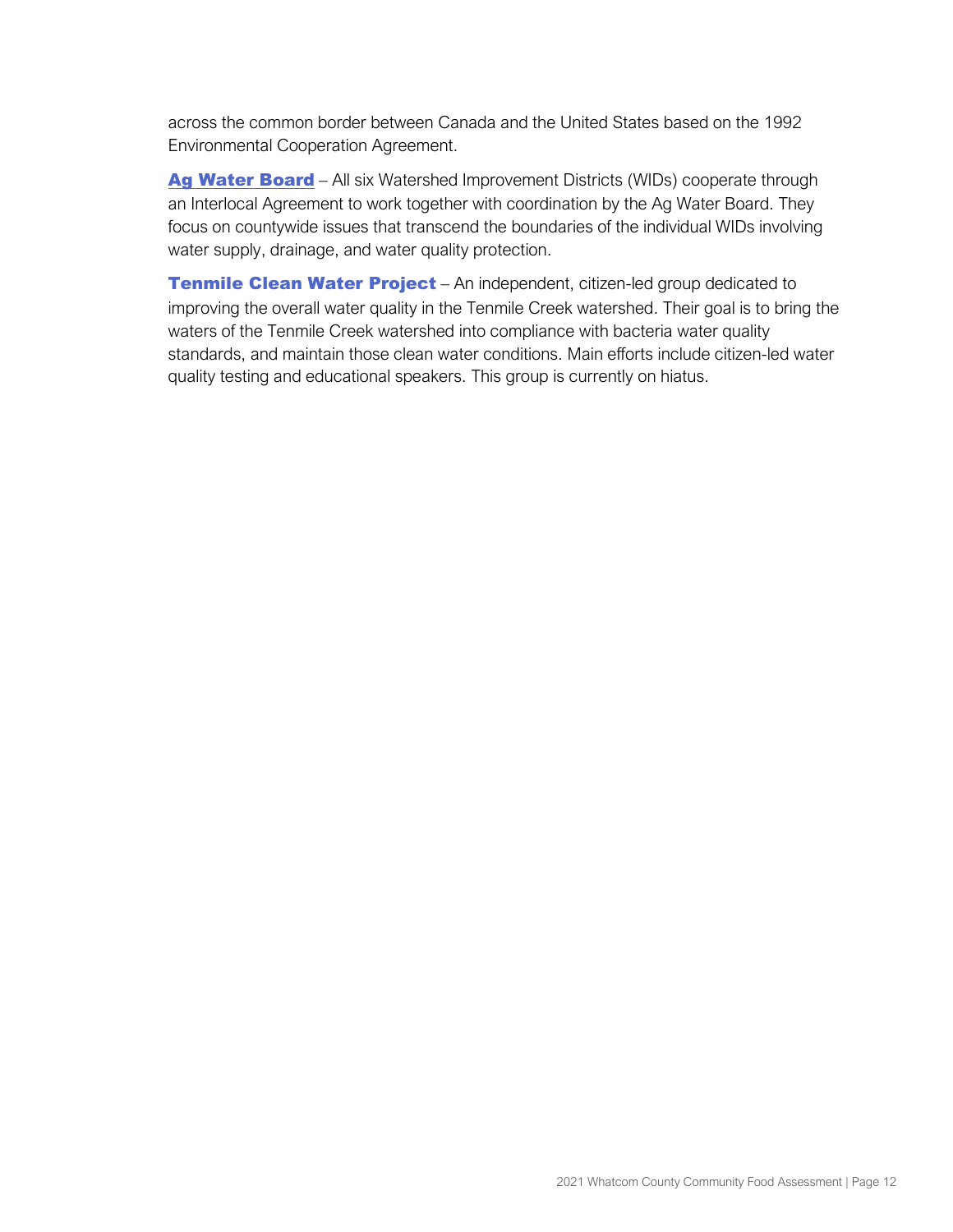across the common border between Canada and the United States based on the 1992 Environmental Cooperation Agreement.

[Ag Water Board](http://www.agwaterboard.com/) – All six Watershed Improvement Districts (WIDs) cooperate through an Interlocal Agreement to work together with coordination by the Ag Water Board. They focus on countywide issues that transcend the boundaries of the individual WIDs involving water supply, drainage, and water quality protection.

**[Tenmile Clean Water Project](https://tenmilecleanwater.org/)** – An independent, citizen-led group dedicated to improving the overall water quality in the Tenmile Creek watershed. Their goal is to bring the waters of the Tenmile Creek watershed into compliance with bacteria water quality standards, and maintain those clean water conditions. Main efforts include citizen-led water quality testing and educational speakers. This group is currently on hiatus.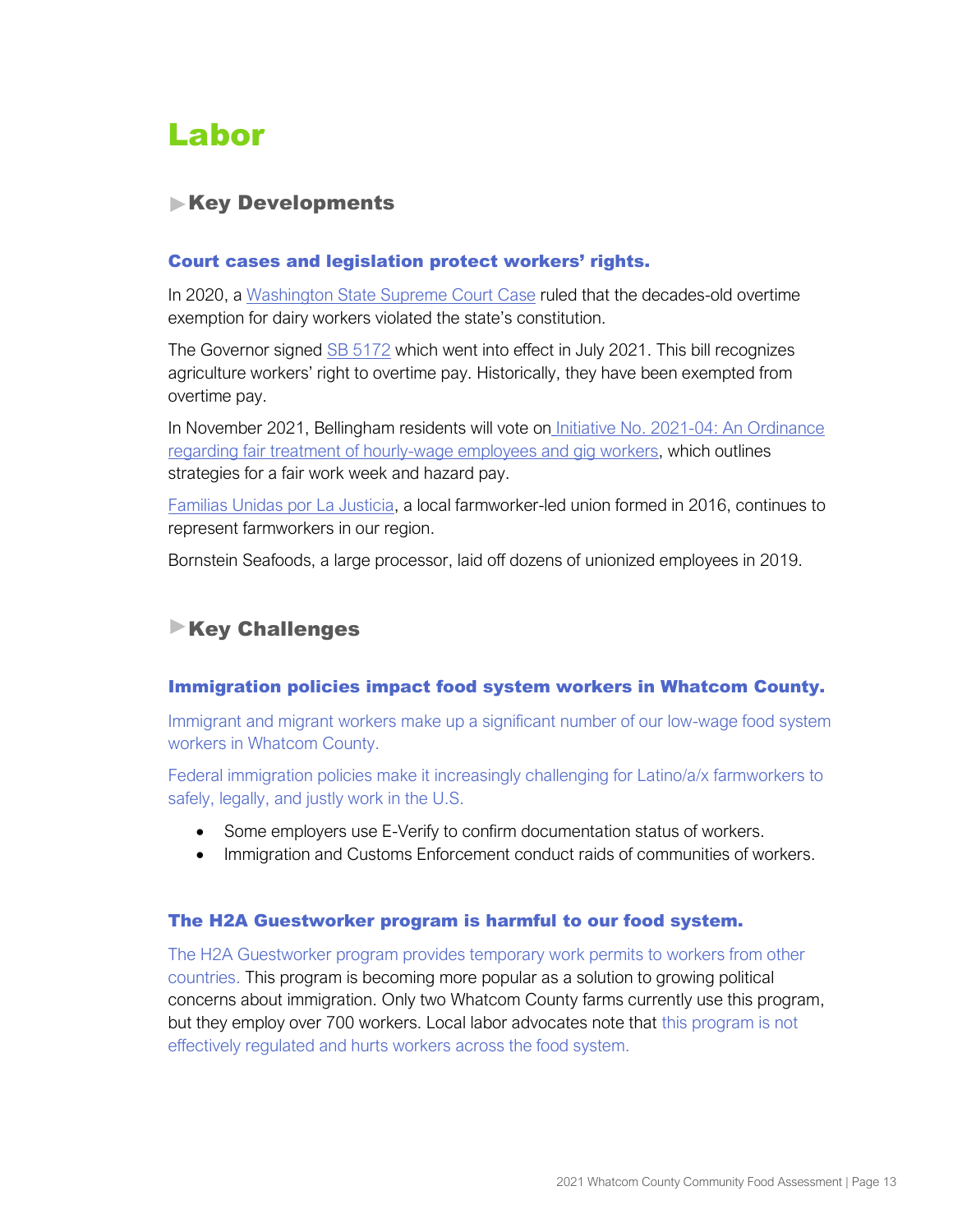# <span id="page-14-0"></span>Labor

# **Key Developments**

### Court cases and legislation protect workers' rights.

In 2020, [a](https://www.courts.wa.gov/opinions/pdf/962677.pdf) [Washington State Supreme Court Case](https://www.courts.wa.gov/opinions/pdf/962677.pdf) ruled that the decades-old overtime exemption for dairy workers violated the state's constitution.

The Governor signed [SB 5172](http://lawfilesext.leg.wa.gov/biennium/2021-22/Pdf/Bills/Senate%20Bills/5172-S.E.pdf#page=1) which went into effect in July 2021. This bill recognizes agriculture workers' right to overtime pay. Historically, they have been exempted from overtime pay.

In November 2021, Bellingham residents will vote on Initiative No. 2021-04: An Ordinance [regarding fair treatment of hourly-wage employees and gig workers,](https://peoplefirstbellingham.org/four/index.html) which outlines strategies for a fair work week and hazard pay.

[Familias Unidas por La Justicia,](http://familiasunidasjusticia.org/en/home/) a local farmworker-led union formed in 2016, continues to represent farmworkers in our region.

Bornstein Seafoods, a large processor, laid off dozens of unionized employees in 2019.

# **Key Challenges**

## Immigration policies impact food system workers in Whatcom County.

Immigrant and migrant workers make up a significant number of our low-wage food system workers in Whatcom County.

Federal immigration policies make it increasingly challenging for Latino/a/x farmworkers to safely, legally, and justly work in the U.S.

- Some employers use E-Verify to confirm documentation status of workers.
- Immigration and Customs Enforcement conduct raids of communities of workers.

#### The H2A Guestworker program is harmful to our food system.

The H2A Guestworker program provides temporary work permits to workers from other countries. This program is becoming more popular as a solution to growing political concerns about immigration. Only two Whatcom County farms currently use this program, but they employ over 700 workers. Local labor advocates note that this program is not effectively regulated and hurts workers across the food system.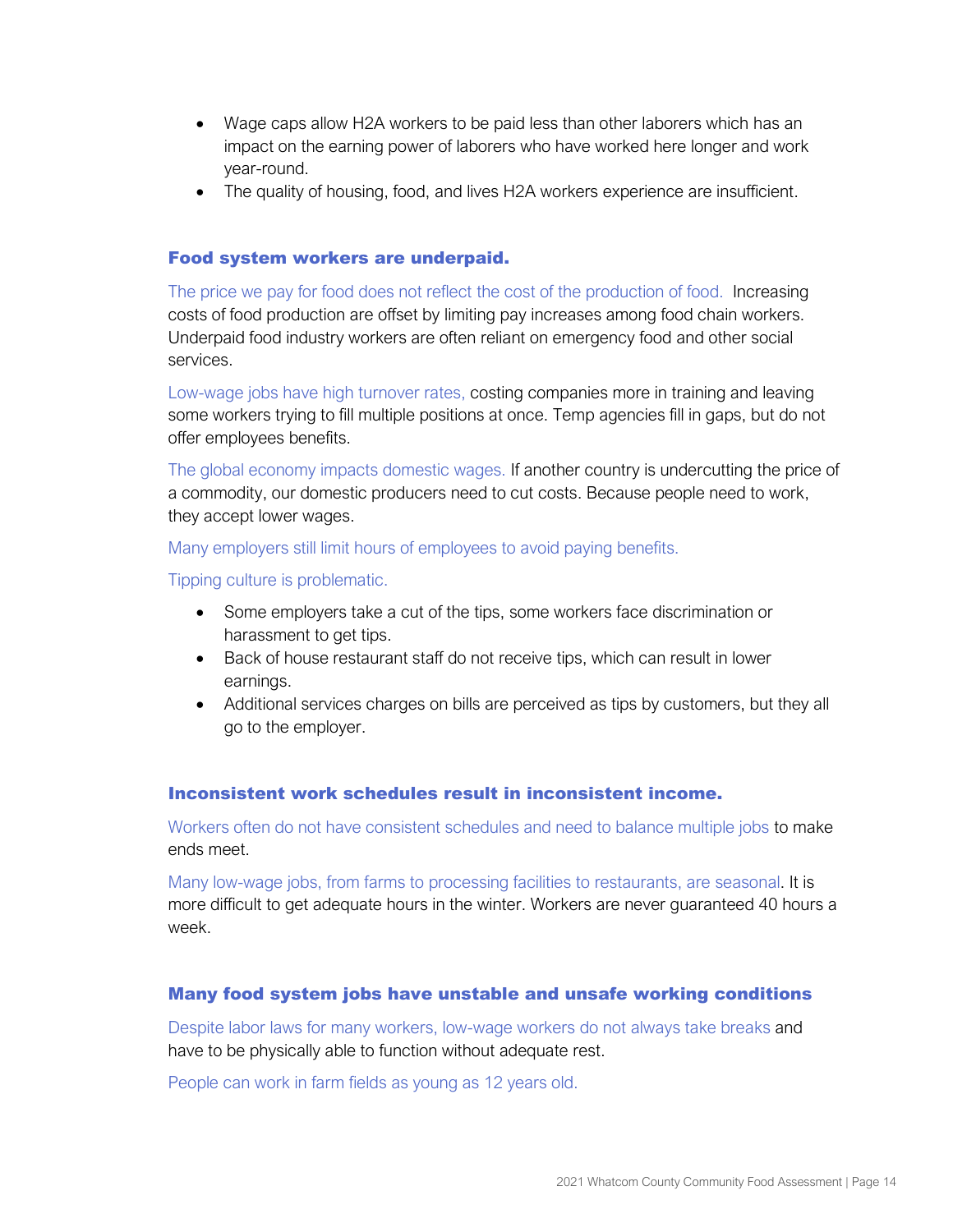- Wage caps allow H2A workers to be paid less than other laborers which has an impact on the earning power of laborers who have worked here longer and work year-round.
- The quality of housing, food, and lives H2A workers experience are insufficient.

#### Food system workers are underpaid.

The price we pay for food does not reflect the cost of the production of food. Increasing costs of food production are offset by limiting pay increases among food chain workers. Underpaid food industry workers are often reliant on emergency food and other social services.

Low-wage jobs have high turnover rates, costing companies more in training and leaving some workers trying to fill multiple positions at once. Temp agencies fill in gaps, but do not offer employees benefits.

The global economy impacts domestic wages. If another country is undercutting the price of a commodity, our domestic producers need to cut costs. Because people need to work, they accept lower wages.

Many employers still limit hours of employees to avoid paying benefits.

Tipping culture is problematic.

- Some employers take a cut of the tips, some workers face discrimination or harassment to get tips.
- Back of house restaurant staff do not receive tips, which can result in lower earnings.
- Additional services charges on bills are perceived as tips by customers, but they all go to the employer.

#### Inconsistent work schedules result in inconsistent income.

Workers often do not have consistent schedules and need to balance multiple jobs to make ends meet.

Many low-wage jobs, from farms to processing facilities to restaurants, are seasonal. It is more difficult to get adequate hours in the winter. Workers are never guaranteed 40 hours a week.

#### Many food system jobs have unstable and unsafe working conditions

Despite labor laws for many workers, low-wage workers do not always take breaks and have to be physically able to function without adequate rest.

People can work in farm fields as young as 12 years old.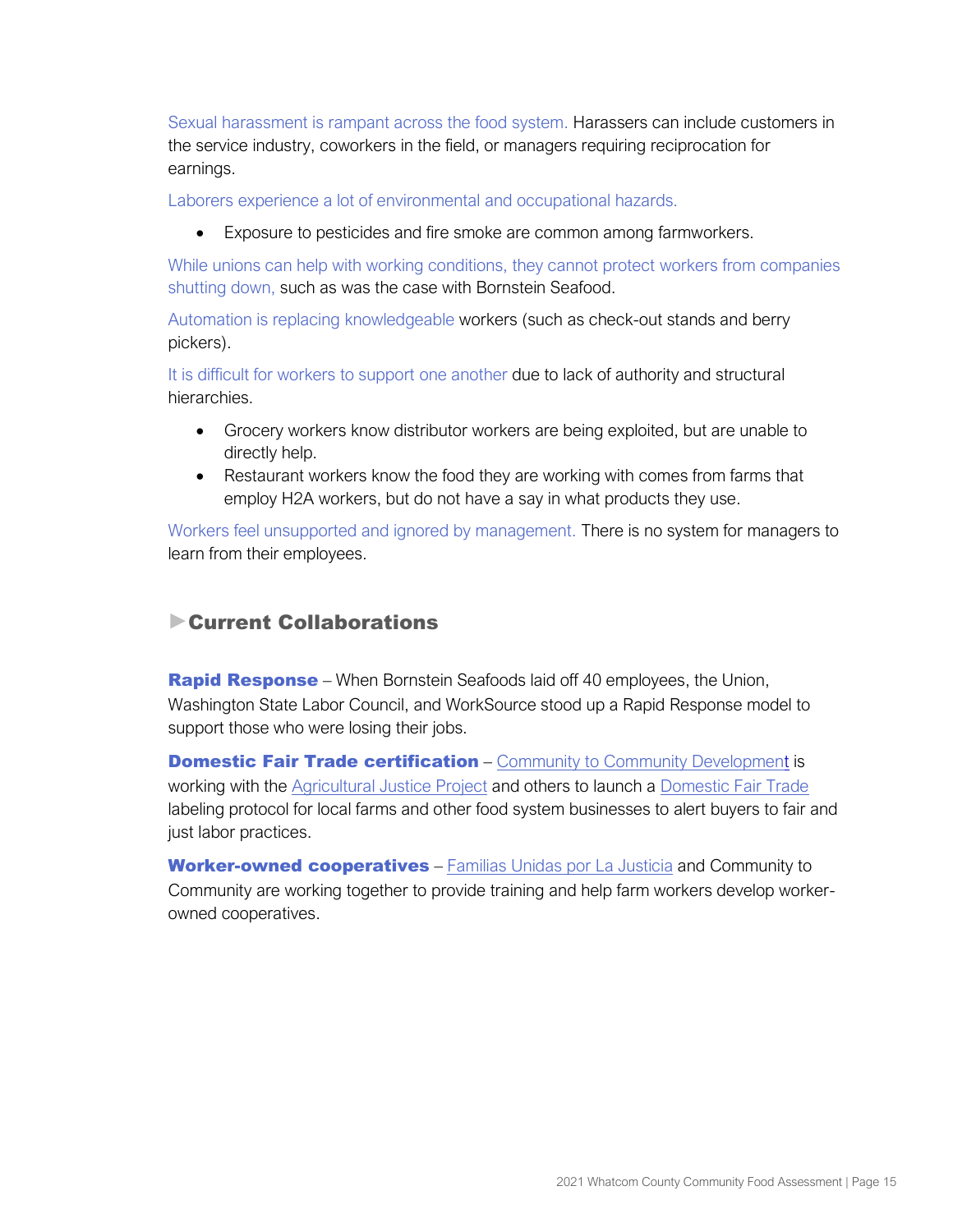Sexual harassment is rampant across the food system. Harassers can include customers in the service industry, coworkers in the field, or managers requiring reciprocation for earnings.

Laborers experience a lot of environmental and occupational hazards.

• Exposure to pesticides and fire smoke are common among farmworkers.

While unions can help with working conditions, they cannot protect workers from companies shutting down, such as was the case with Bornstein Seafood.

Automation is replacing knowledgeable workers (such as check-out stands and berry pickers).

It is difficult for workers to support one another due to lack of authority and structural hierarchies.

- Grocery workers know distributor workers are being exploited, but are unable to directly help.
- Restaurant workers know the food they are working with comes from farms that employ H2A workers, but do not have a say in what products they use.

Workers feel unsupported and ignored by management. There is no system for managers to learn from their employees.

# Current Collaborations

**Rapid Response** – When Bornstein Seafoods laid off 40 employees, the Union, Washington State Labor Council, and WorkSource stood up a Rapid Response model to support those who were losing their jobs.

**Domestic Fair Trade certification** – [Community to Community Development](https://foodjustice.org/) is working with the [Agricultural Justice Project](http://agriculturaljusticeproject.org/) and others to launch a [Domestic Fair Trade](http://www.thedfta.org/) labeling protocol for local farms and other food system businesses to alert buyers to fair and just labor practices.

Worker-owned cooperatives – [Familias Unidas por La Justicia](http://familiasunidasjusticia.org/en/home/) and Community to Community are working together to provide training and help farm workers develop workerowned cooperatives.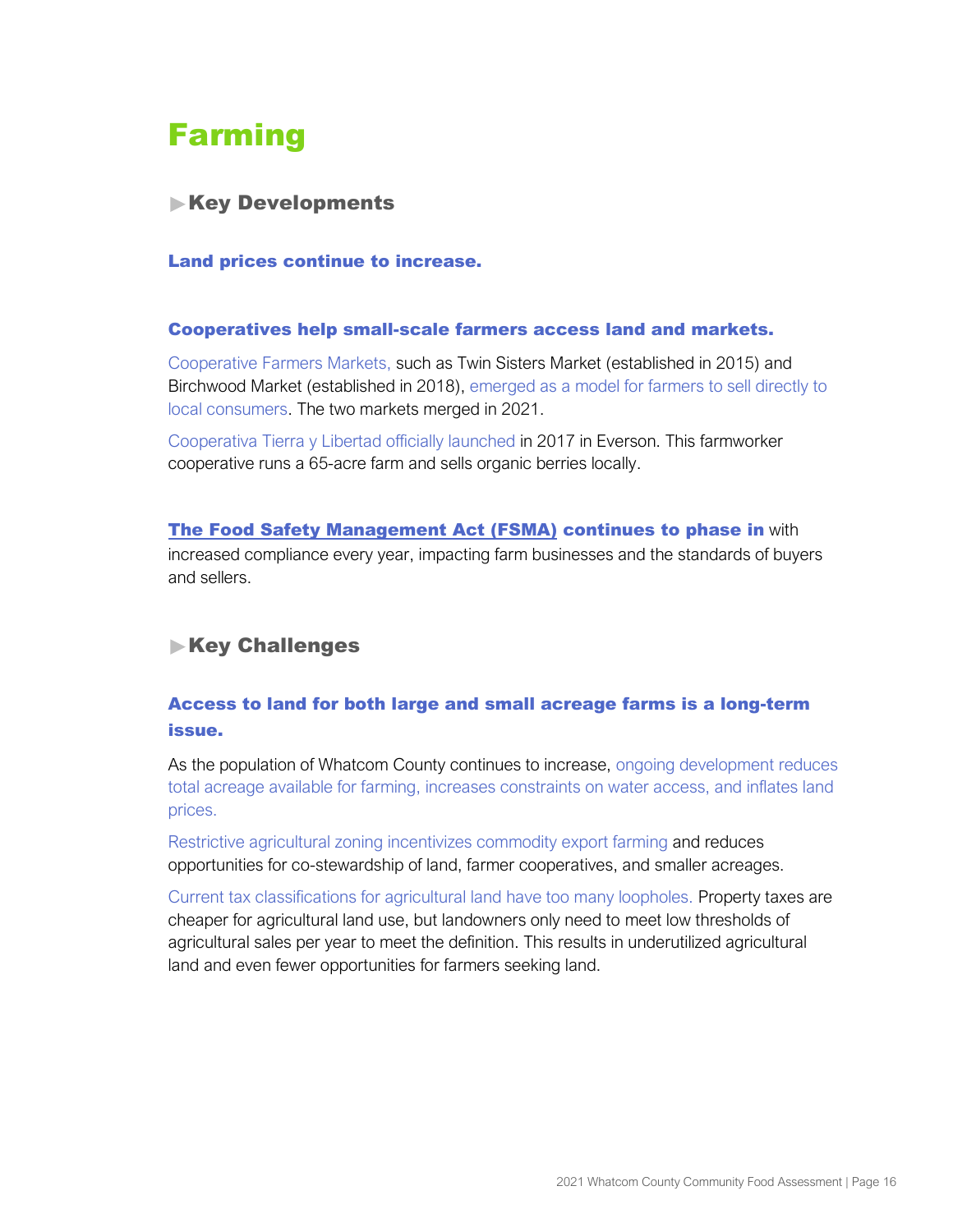# <span id="page-17-0"></span>Farming

# **Key Developments**

#### Land prices continue to increase.

#### Cooperatives help small-scale farmers access land and markets.

Cooperative Farmers Markets, such as Twin Sisters Market (established in 2015) and Birchwood Market (established in 2018), emerged as a model for farmers to sell directly to local consumers. The two markets merged in 2021.

Cooperativa Tierra y Libertad officially launched in 2017 in Everson. This farmworker cooperative runs a 65-acre farm and sells organic berries locally.

[The Food Safety Management Act \(FSMA\)](https://www.fda.gov/food/guidance-regulation-food-and-dietary-supplements/food-safety-modernization-act-fsma) continues to phase in with increased compliance every year, impacting farm businesses and the standards of buyers and sellers.

# **Key Challenges**

# Access to land for both large and small acreage farms is a long-term issue.

As the population of Whatcom County continues to increase, ongoing development reduces total acreage available for farming, increases constraints on water access, and inflates land prices.

Restrictive agricultural zoning incentivizes commodity export farming and reduces opportunities for co-stewardship of land, farmer cooperatives, and smaller acreages.

Current tax classifications for agricultural land have too many loopholes. Property taxes are cheaper for agricultural land use, but landowners only need to meet low thresholds of agricultural sales per year to meet the definition. This results in underutilized agricultural land and even fewer opportunities for farmers seeking land.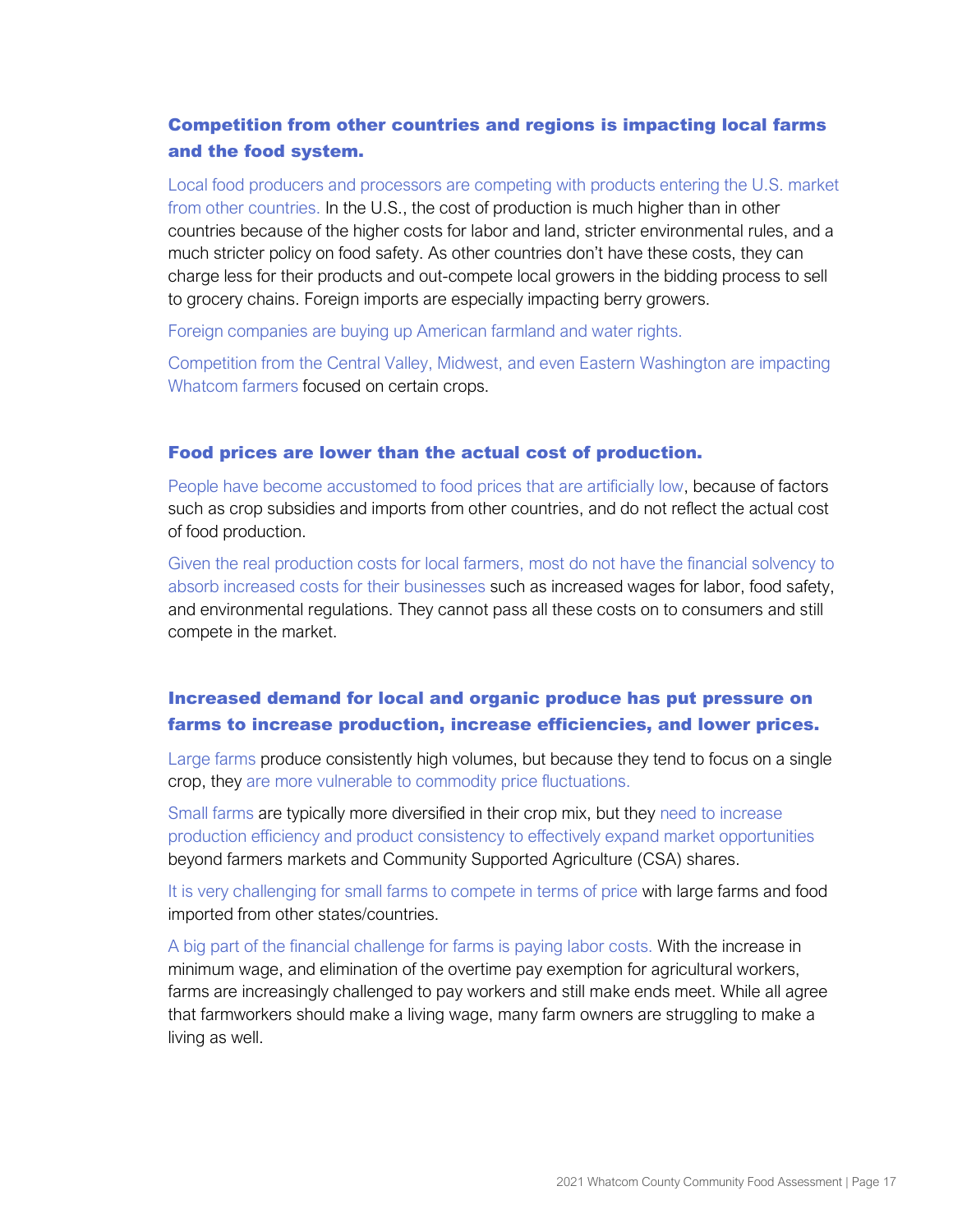# Competition from other countries and regions is impacting local farms and the food system.

Local food producers and processors are competing with products entering the U.S. market from other countries. In the U.S., the cost of production is much higher than in other countries because of the higher costs for labor and land, stricter environmental rules, and a much stricter policy on food safety. As other countries don't have these costs, they can charge less for their products and out-compete local growers in the bidding process to sell to grocery chains. Foreign imports are especially impacting berry growers.

Foreign companies are buying up American farmland and water rights.

Competition from the Central Valley, Midwest, and even Eastern Washington are impacting Whatcom farmers focused on certain crops.

#### Food prices are lower than the actual cost of production.

People have become accustomed to food prices that are artificially low, because of factors such as crop subsidies and imports from other countries, and do not reflect the actual cost of food production.

Given the real production costs for local farmers, most do not have the financial solvency to absorb increased costs for their businesses such as increased wages for labor, food safety, and environmental regulations. They cannot pass all these costs on to consumers and still compete in the market.

# Increased demand for local and organic produce has put pressure on farms to increase production, increase efficiencies, and lower prices.

Large farms produce consistently high volumes, but because they tend to focus on a single crop, they are more vulnerable to commodity price fluctuations.

Small farms are typically more diversified in their crop mix, but they need to increase production efficiency and product consistency to effectively expand market opportunities beyond farmers markets and Community Supported Agriculture (CSA) shares.

It is very challenging for small farms to compete in terms of price with large farms and food imported from other states/countries.

A big part of the financial challenge for farms is paying labor costs. With the increase in minimum wage, and elimination of the overtime pay exemption for agricultural workers, farms are increasingly challenged to pay workers and still make ends meet. While all agree that farmworkers should make a living wage, many farm owners are struggling to make a living as well.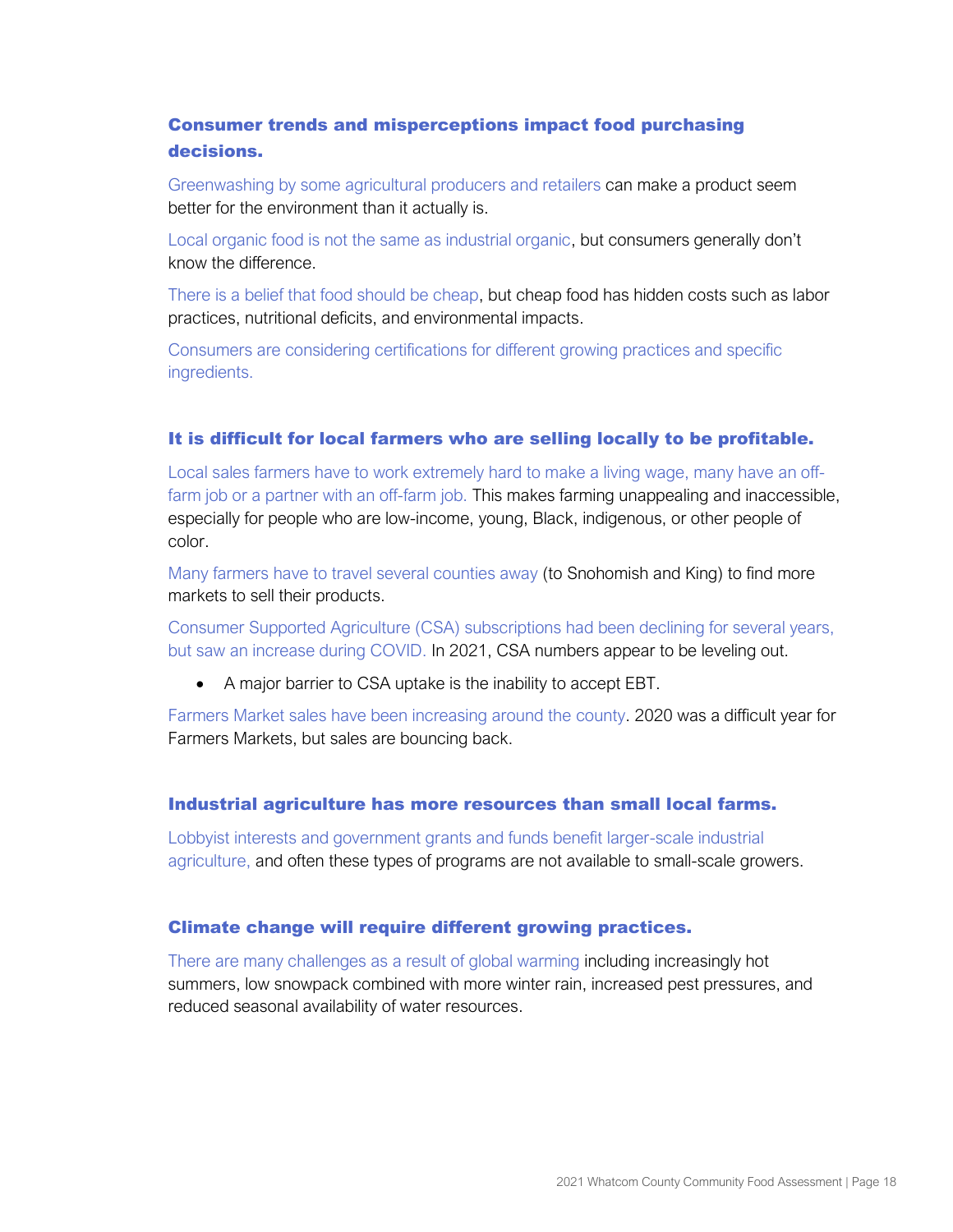# Consumer trends and misperceptions impact food purchasing decisions.

Greenwashing by some agricultural producers and retailers can make a product seem better for the environment than it actually is.

Local organic food is not the same as industrial organic, but consumers generally don't know the difference.

There is a belief that food should be cheap, but cheap food has hidden costs such as labor practices, nutritional deficits, and environmental impacts.

Consumers are considering certifications for different growing practices and specific ingredients.

#### It is difficult for local farmers who are selling locally to be profitable.

Local sales farmers have to work extremely hard to make a living wage, many have an offfarm job or a partner with an off-farm job. This makes farming unappealing and inaccessible, especially for people who are low-income, young, Black, indigenous, or other people of color.

Many farmers have to travel several counties away (to Snohomish and King) to find more markets to sell their products.

Consumer Supported Agriculture (CSA) subscriptions had been declining for several years, but saw an increase during COVID. In 2021, CSA numbers appear to be leveling out.

• A major barrier to CSA uptake is the inability to accept EBT.

Farmers Market sales have been increasing around the county. 2020 was a difficult year for Farmers Markets, but sales are bouncing back.

#### Industrial agriculture has more resources than small local farms.

Lobbyist interests and government grants and funds benefit larger-scale industrial agriculture, and often these types of programs are not available to small-scale growers.

#### Climate change will require different growing practices.

There are many challenges as a result of global warming including increasingly hot summers, low snowpack combined with more winter rain, increased pest pressures, and reduced seasonal availability of water resources.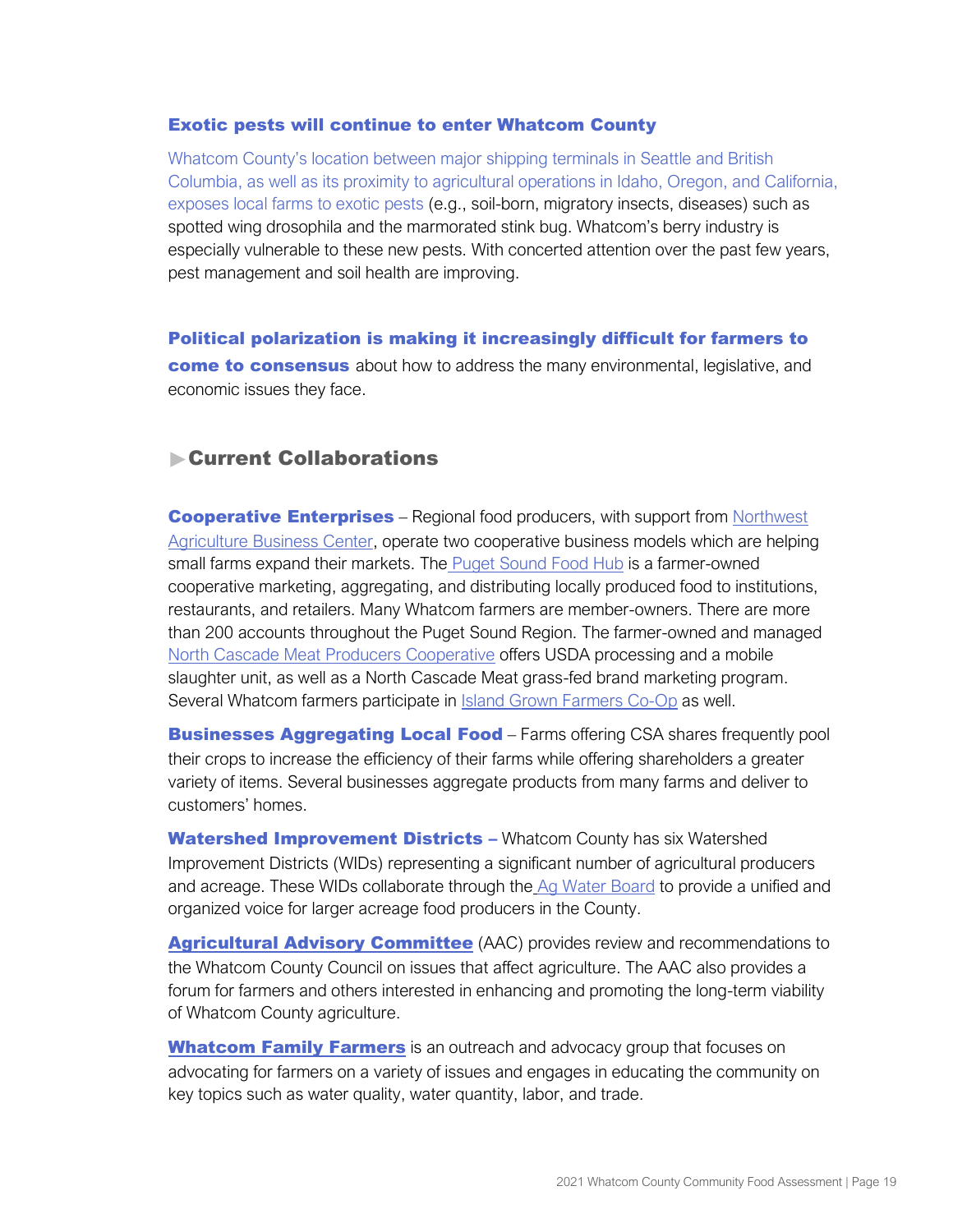#### Exotic pests will continue to enter Whatcom County

Whatcom County's location between major shipping terminals in Seattle and British Columbia, as well as its proximity to agricultural operations in Idaho, Oregon, and California, exposes local farms to exotic pests (e.g., soil-born, migratory insects, diseases) such as spotted wing drosophila and the marmorated stink bug. Whatcom's berry industry is especially vulnerable to these new pests. With concerted attention over the past few years, pest management and soil health are improving.

Political polarization is making it increasingly difficult for farmers to come to consensus about how to address the many environmental, legislative, and economic issues they face.

# Current Collaborations

**Cooperative Enterprises** – Regional food producers, with support from Northwest [Agriculture Business Center,](https://www.agbizcenter.org/) operate two cooperative business models which are helping small farms expand their markets. The [Puget Sound Food Hub](http://www.pugetsoundfoodhub.com/) is a farmer-owned cooperative marketing, aggregating, and distributing locally produced food to institutions, restaurants, and retailers. Many Whatcom farmers are member-owners. There are more than 200 accounts throughout the Puget Sound Region. The farmer-owned and manage[d](http://www.northcascademeats.com/) [North Cascade Meat Producers Cooperative](http://www.northcascademeats.com/) offers USDA processing and a mobile slaughter unit, as well as a North Cascade Meat grass-fed brand marketing program. Several Whatcom farmers participate in **Island Grown Farmers Co-Op** as well.

**Businesses Aggregating Local Food** – Farms offering CSA shares frequently pool their crops to increase the efficiency of their farms while offering shareholders a greater variety of items. Several businesses aggregate products from many farms and deliver to customers' homes.

[Watershed Improvement Districts](http://www.whatcomfamilyfarmers.org/watershed-improvement-districts.html) - Whatcom County has six Watershed Improvement Districts (WIDs) representing a significant number of agricultural producers and acreage. These WIDs collaborate through th[e](http://www.agwaterboard.com/) [Ag Water Board](http://www.agwaterboard.com/) to provide a unified and organized voice for larger acreage food producers in the County.

**[Agricultural Advisory Committee](http://www.whatcomcounty.us/241/Agricultural-Advisory-Committee)** (AAC) provides review and recommendations to the Whatcom County Council on issues that affect agriculture. The AAC also provides a forum for farmers and others interested in enhancing and promoting the long-term viability of Whatcom County agriculture.

**[Whatcom Family Farmers](http://www.whatcomfamilyfarmers.org/)** is an outreach and advocacy group that focuses on advocating for farmers on a variety of issues and engages in educating the community on key topics such as water quality, water quantity, labor, and trade.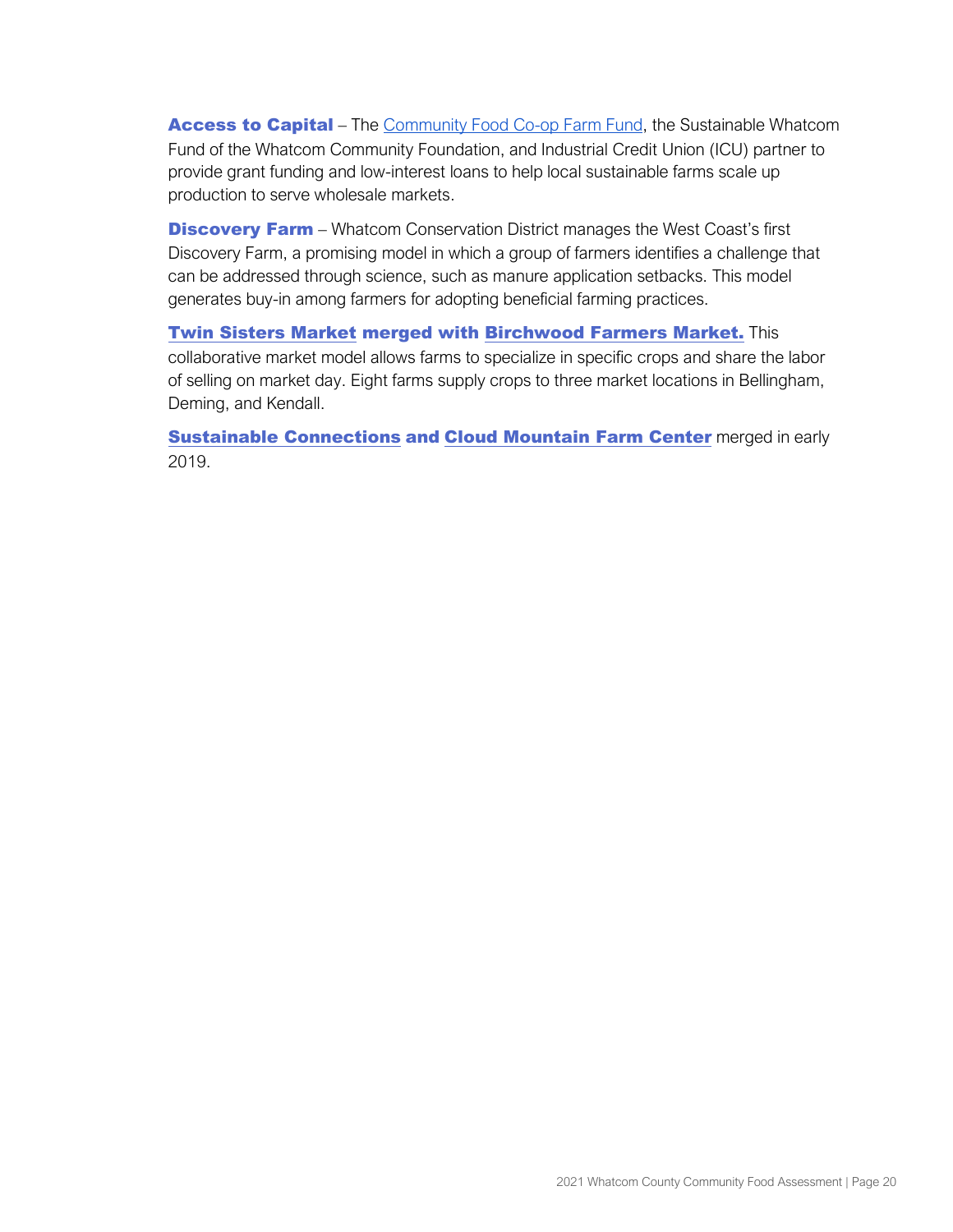Access to Capital – The [Community Food Co-op Farm Fund,](https://communityfood.coop/community-giving/farm-fund/) the Sustainable Whatcom Fund of the Whatcom Community Foundation, and Industrial Credit Union (ICU) partner to provide grant funding and low-interest loans to help local sustainable farms scale up production to serve wholesale markets.

**Discovery Farm** – Whatcom Conservation District manages the West Coast's first Discovery Farm, a promising model in which a group of farmers identifies a challenge that can be addressed through science, such as manure application setbacks. This model generates buy-in among farmers for adopting beneficial farming practices.

[Twin Sisters Market](https://www.twinsistersmarket.com/) merged with [Birchwood Farmers Market.](https://www.birchwoodfarmersmarket.com/) This collaborative market model allows farms to specialize in specific crops and share the labor of selling on market day. Eight farms supply crops to three market locations in Bellingham, Deming, and Kendall.

**[Sustainable Connections](https://sustainableconnections.org/programs/food-farming/) and [Cloud Mountain](https://www.cloudmountainfarmcenter.org/) Farm Center** merged in early 2019.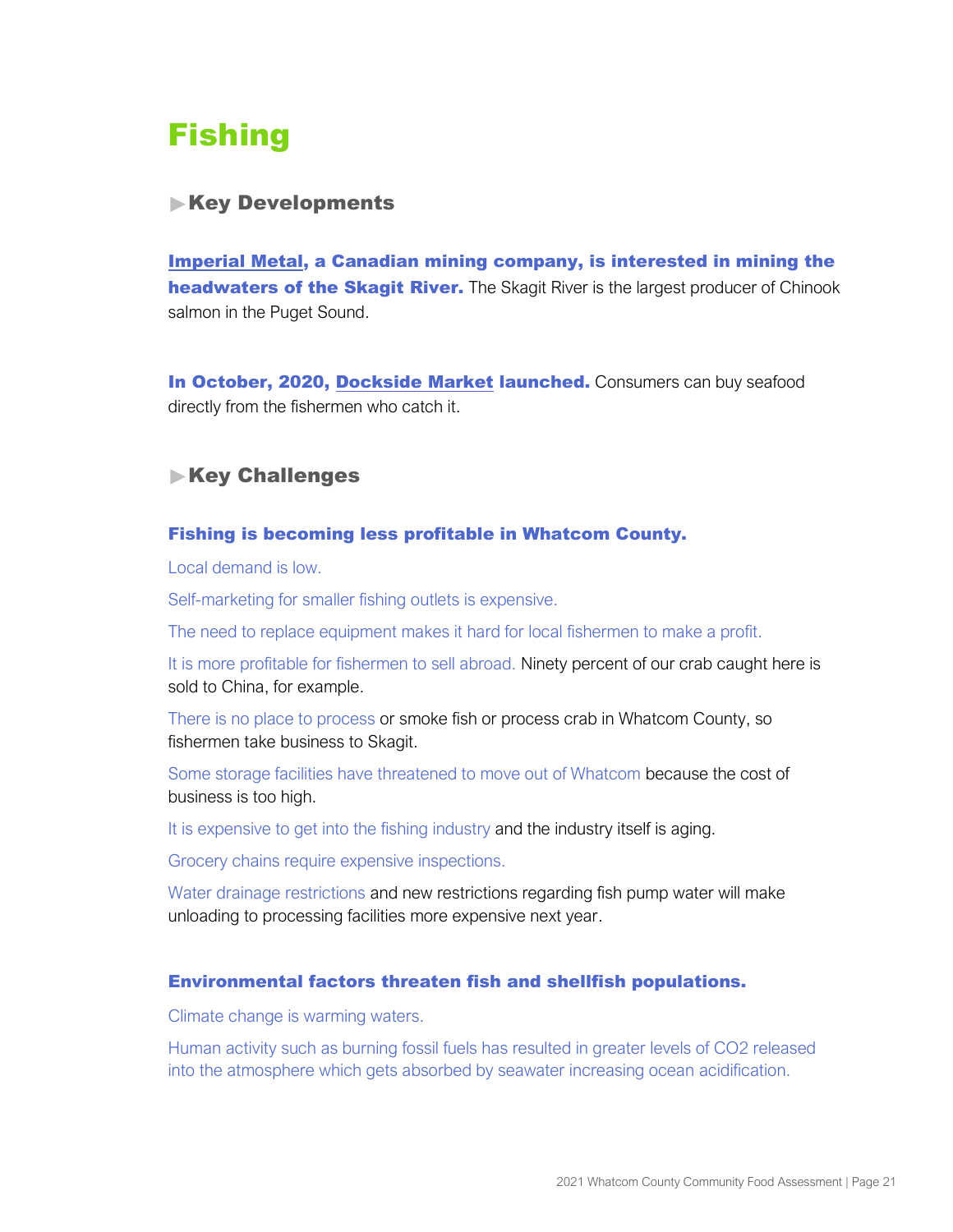# <span id="page-22-0"></span>**Fishing**

# **Key Developments**

[Imperial Metal,](https://thenarwhal.ca/why-an-international-coalition-is-going-all-out-to-stop-mining-in-the-skagit-headwaters/) a Canadian mining company, is interested in mining the **headwaters of the Skagit River.** The Skagit River is the largest producer of Chinook salmon in the Puget Sound.

In October, 2020, [Dockside Market](https://bellinghamseafeast.org/docksidemarket) launched. Consumers can buy seafood directly from the fishermen who catch it.

# **Key Challenges**

#### Fishing is becoming less profitable in Whatcom County.

Local demand is low.

Self-marketing for smaller fishing outlets is expensive.

The need to replace equipment makes it hard for local fishermen to make a profit.

It is more profitable for fishermen to sell abroad. Ninety percent of our crab caught here is sold to China, for example.

There is no place to process or smoke fish or process crab in Whatcom County, so fishermen take business to Skagit.

Some storage facilities have threatened to move out of Whatcom because the cost of business is too high.

It is expensive to get into the fishing industry and the industry itself is aging.

Grocery chains require expensive inspections.

Water drainage restrictions and new restrictions regarding fish pump water will make unloading to processing facilities more expensive next year.

#### Environmental factors threaten fish and shellfish populations.

Climate change is warming waters.

Human activity such as burning fossil fuels has resulted in greater levels of CO2 released into the atmosphere which gets absorbed by seawater increasing ocean acidification.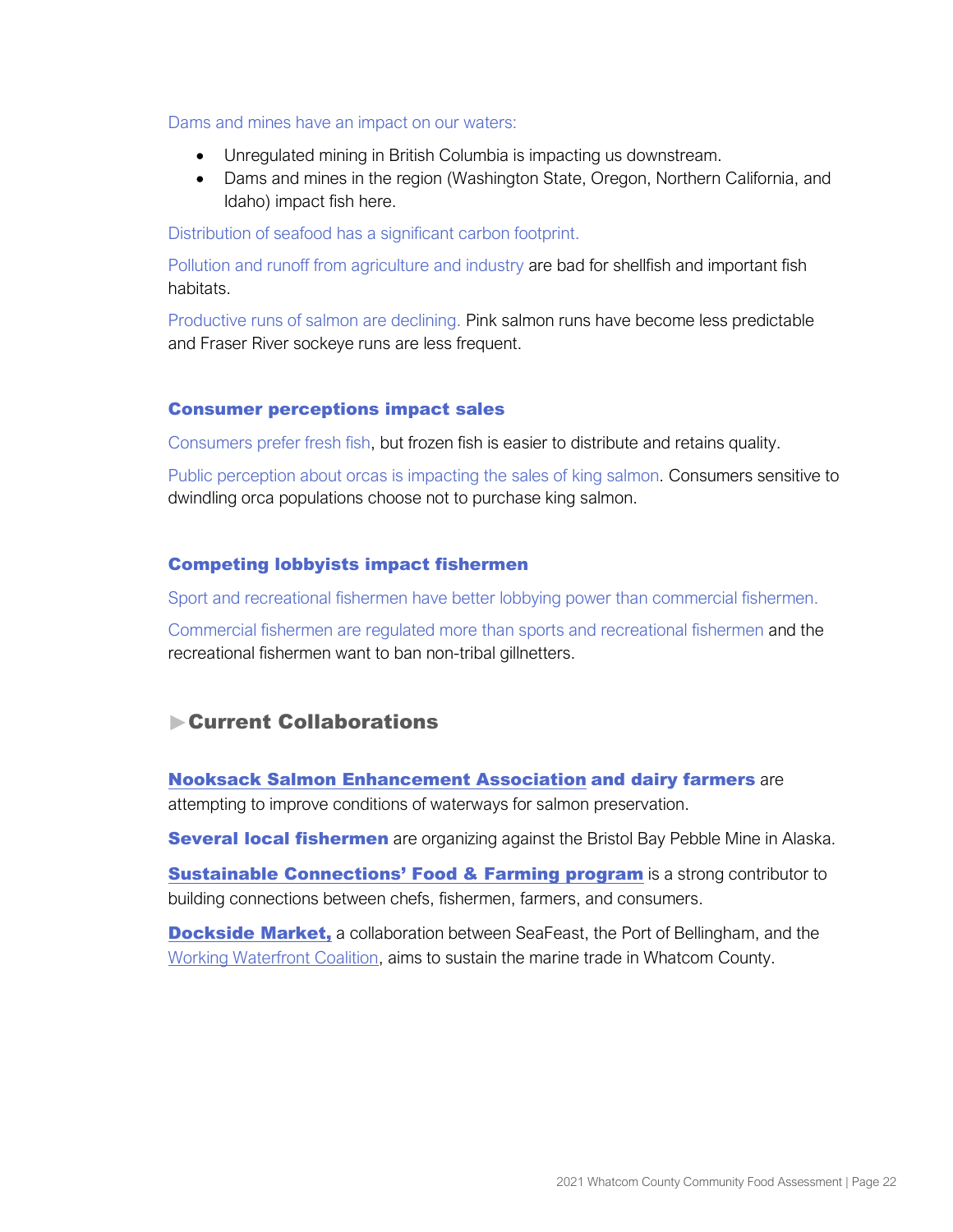Dams and mines have an impact on our waters:

- Unregulated mining in British Columbia is impacting us downstream.
- Dams and mines in the region (Washington State, Oregon, Northern California, and Idaho) impact fish here.

Distribution of seafood has a significant carbon footprint.

Pollution and runoff from agriculture and industry are bad for shellfish and important fish habitats.

Productive runs of salmon are declining. Pink salmon runs have become less predictable and Fraser River sockeye runs are less frequent.

#### Consumer perceptions impact sales

Consumers prefer fresh fish, but frozen fish is easier to distribute and retains quality.

Public perception about orcas is impacting the sales of king salmon. Consumers sensitive to dwindling orca populations choose not to purchase king salmon.

#### Competing lobbyists impact fishermen

Sport and recreational fishermen have better lobbying power than commercial fishermen.

Commercial fishermen are regulated more than sports and recreational fishermen and the recreational fishermen want to ban non-tribal gillnetters.

# Current Collaborations

[Nooksack Salmon Enhancement Association](https://www.n-sea.org/) and dairy farmers are attempting to improve conditions of waterways for salmon preservation.

**Several local fishermen** are organizing against the Bristol Bay Pebble Mine in Alaska.

**Sustainable Connections[' Food & Farming program](https://sustainableconnections.org/programs/food-farming/)** is a strong contributor to building connections between chefs, fishermen, farmers, and consumers.

**[Dockside Market,](https://bellinghamseafeast.org/docksidemarket)** a collaboration b[e](https://www.whatcomworkingwaterfront.org/membership-overview)tween SeaFeast, the Port of Bellingham, and the [Working Waterfront Coalition,](https://www.whatcomworkingwaterfront.org/membership-overview) aims to sustain the marine trade in Whatcom County.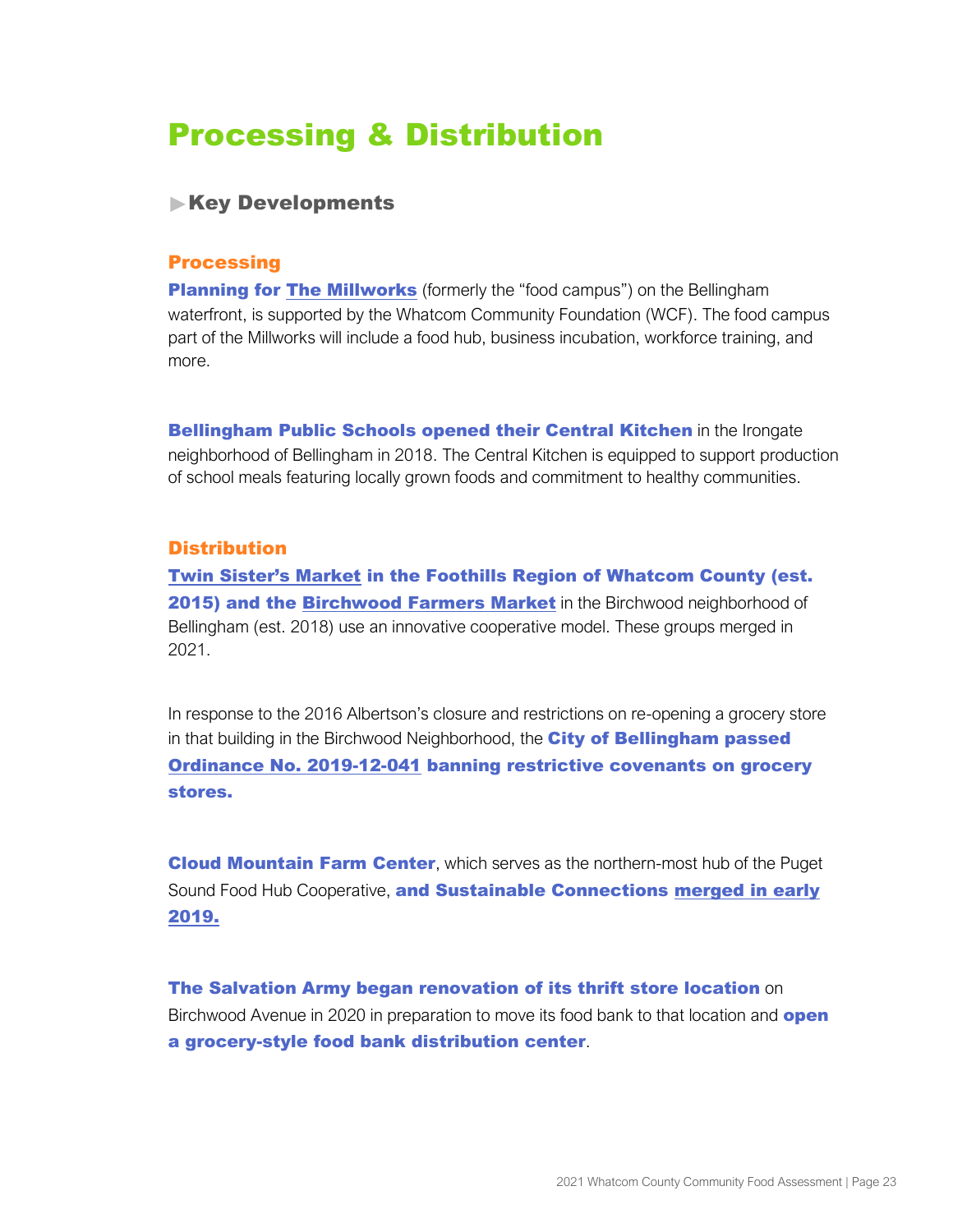# <span id="page-24-0"></span>Processing & Distribution

# **Key Developments**

#### **Processing**

**Planning for [The Millworks](https://whatcomcf.org/give/invest-in-a-project-or-initiative/building-an-inclusive-local-economy/)** (formerly the "food campus") on the Bellingham waterfront, is supported by the Whatcom Community Foundation (WCF). The food campus part of the Millworks will include a food hub, business incubation, workforce training, and more.

**Bellingham Public Schools opened their Central Kitchen** in the Irongate neighborhood of Bellingham in 2018. The Central Kitchen is equipped to support production of school meals featuring locally grown foods and commitment to healthy communities.

## **Distribution**

[Twin Sister's Market](https://www.twinsistersmarket.com/about-us) in the Foothills Region of Whatcom County (est. 2015) and th[e](https://www.citysproutsfarm.com/market) [Birchwood Farmers Market](https://www.birchwoodfarmersmarket.com/) in the Birchwood neighborhood of Bellingham (est. 2018) use an innovative cooperative model. These groups merged in 2021.

In response to the 2016 Albertson's closure and restrictions on re-opening a grocery store in that buil[d](https://codepublishing-modern-prod.s3.us-west-2.amazonaws.com/poJMR6WFXkZFouPkgsjmjaM1?response-content-disposition=inline%3B%20filename%3D%22Ordinance%202019-12-041.pdf%22%3B%20filename%2A%3DUTF-8%27%27Ordinance%25202019-12-041.pdf&response-content-type=application%2Fpdf&X-Amz-Algorithm=AWS4-HMAC-SHA256&X-Amz-Credential=ASIAQSZNCZZNM63QBGV7%2F20201217%2Fus-west-2%2Fs3%2Faws4_request&X-Amz-Date=20201217T235357Z&X-Amz-Expires=300&X-Amz-SignedHeaders=host&X-Amz-Security-Token=IQoJb3JpZ2luX2VjEI7%2F%2F%2F%2F%2F%2F%2F%2F%2F%2FwEaCXVzLXdlc3QtMiJHMEUCIQCASQPDt2EbA0Ui5RSFP9nd4lfUudNKkAC%2F7hsX4owWNQIgKQYRZ6SxvjpnwJBBN%2BWwJadLaC0zYzIra05JOi89TAgqogMINxABGgwwNDAzNTk4NzQxMzgiDL1R8FJerzSN2hBaayr%2FAtT4t9NhnB6Yq0ThZEaV8FeelXqdi3wy56skbKQARFtV4d6qY%2BfC2G4IlZcmwjFMOfPm6TGV22jVkINcjaZpsRFbHF8G07%2FY65gy00WsPiQqypVwAgofxg2d2TWA2rn5RaK5Gjggbiva63mJDRRzBPtpl38ak3569CBhfWHDhBipqYzwz%2BLqID6UAnmT3hoLLfQmncCVmTKWox12otiEXNO77UCTRziZnJp77Bg1%2BgoEfHctRNGpt7OVzccu7yPZG7YpAvKeH94NtR6WQjOdVK8gwkaqJG4ZlthRJBJgDJAESZHLScE%2BB4VJ9SCtzuzh9IyL9QQIhWrxS2UnXQJ6dZgxSoV71frb4ar2eswCaK%2B2aiqDm3yibnYETQ6Tls2Lbt%2BdiJwcT0McXZ44hNoM3rkkxP5D14jnvIKaLq4hgx9NQds41d%2Bu6Y1w9W%2FRQXAB5mA3%2Fzk9onLyYCued3uECY8dgAoU%2BPgezcQ1KZjKFJeVDlniQbZwcPSOSnvma42SMNqs7%2F4FOusB8qT%2BeNg%2Fg3iLarwp91yf7eFVzaUtKuWGx1rPY8aEbmX7TzJMMO5ZQBeXUp%2B3fH4PipIrbvHyCHANKVmYRzTe8LuXHcPbSqY01RVe1ST6KpkBX%2FxRR5oNFyxPinzLRtNtKbsejH4TWDASw03aaFMLejGzhxrhSCOP2C43qYdhoT2%2F3KqF9%2FHV5k4r5VA3s8pOC%2Ff8oy7N%2BpjpehMMufUI9oK0xk8%2FXJWgjH6aO6sVkSWKQBuzShjDMZlj4nLSjTzWYMS%2F8PLP9xckeofKw20mtaACAMvK4HSCRobaRGjN5OMvD2zFZr0RH79nCA%3D%3D&X-Amz-Signature=9023bde7462f1f473e0f1e456337723ebe33a9c325f653fc0851b28aae983231)ing in the Birchwood Neighborhood, the City of Bellingham passed [Ordinance No. 2019-12-041](https://codepublishing-modern-prod.s3.us-west-2.amazonaws.com/poJMR6WFXkZFouPkgsjmjaM1?response-content-disposition=inline%3B%20filename%3D%22Ordinance%202019-12-041.pdf%22%3B%20filename%2A%3DUTF-8%27%27Ordinance%25202019-12-041.pdf&response-content-type=application%2Fpdf&X-Amz-Algorithm=AWS4-HMAC-SHA256&X-Amz-Credential=ASIAQSZNCZZNM63QBGV7%2F20201217%2Fus-west-2%2Fs3%2Faws4_request&X-Amz-Date=20201217T235357Z&X-Amz-Expires=300&X-Amz-SignedHeaders=host&X-Amz-Security-Token=IQoJb3JpZ2luX2VjEI7%2F%2F%2F%2F%2F%2F%2F%2F%2F%2FwEaCXVzLXdlc3QtMiJHMEUCIQCASQPDt2EbA0Ui5RSFP9nd4lfUudNKkAC%2F7hsX4owWNQIgKQYRZ6SxvjpnwJBBN%2BWwJadLaC0zYzIra05JOi89TAgqogMINxABGgwwNDAzNTk4NzQxMzgiDL1R8FJerzSN2hBaayr%2FAtT4t9NhnB6Yq0ThZEaV8FeelXqdi3wy56skbKQARFtV4d6qY%2BfC2G4IlZcmwjFMOfPm6TGV22jVkINcjaZpsRFbHF8G07%2FY65gy00WsPiQqypVwAgofxg2d2TWA2rn5RaK5Gjggbiva63mJDRRzBPtpl38ak3569CBhfWHDhBipqYzwz%2BLqID6UAnmT3hoLLfQmncCVmTKWox12otiEXNO77UCTRziZnJp77Bg1%2BgoEfHctRNGpt7OVzccu7yPZG7YpAvKeH94NtR6WQjOdVK8gwkaqJG4ZlthRJBJgDJAESZHLScE%2BB4VJ9SCtzuzh9IyL9QQIhWrxS2UnXQJ6dZgxSoV71frb4ar2eswCaK%2B2aiqDm3yibnYETQ6Tls2Lbt%2BdiJwcT0McXZ44hNoM3rkkxP5D14jnvIKaLq4hgx9NQds41d%2Bu6Y1w9W%2FRQXAB5mA3%2Fzk9onLyYCued3uECY8dgAoU%2BPgezcQ1KZjKFJeVDlniQbZwcPSOSnvma42SMNqs7%2F4FOusB8qT%2BeNg%2Fg3iLarwp91yf7eFVzaUtKuWGx1rPY8aEbmX7TzJMMO5ZQBeXUp%2B3fH4PipIrbvHyCHANKVmYRzTe8LuXHcPbSqY01RVe1ST6KpkBX%2FxRR5oNFyxPinzLRtNtKbsejH4TWDASw03aaFMLejGzhxrhSCOP2C43qYdhoT2%2F3KqF9%2FHV5k4r5VA3s8pOC%2Ff8oy7N%2BpjpehMMufUI9oK0xk8%2FXJWgjH6aO6sVkSWKQBuzShjDMZlj4nLSjTzWYMS%2F8PLP9xckeofKw20mtaACAMvK4HSCRobaRGjN5OMvD2zFZr0RH79nCA%3D%3D&X-Amz-Signature=9023bde7462f1f473e0f1e456337723ebe33a9c325f653fc0851b28aae983231) banning restrictive covenants on grocery stores.

**Cloud Mountain Farm Center, which serves as the northern-most hub of the Puget** Sound Food Hub Cooperative, and Su[s](https://sustainableconnections.org/cloud-mountain-farm-center/)tainable Connections [merged in](https://sustainableconnections.org/cloud-mountain-farm-center/) early [2019](https://sustainableconnections.org/cloud-mountain-farm-center/).

The Salvation Army began renovation of its thrift store location on Birchwood Avenue in 2020 in preparation to move its food bank to that location and **open** a grocery-style food bank distribution center.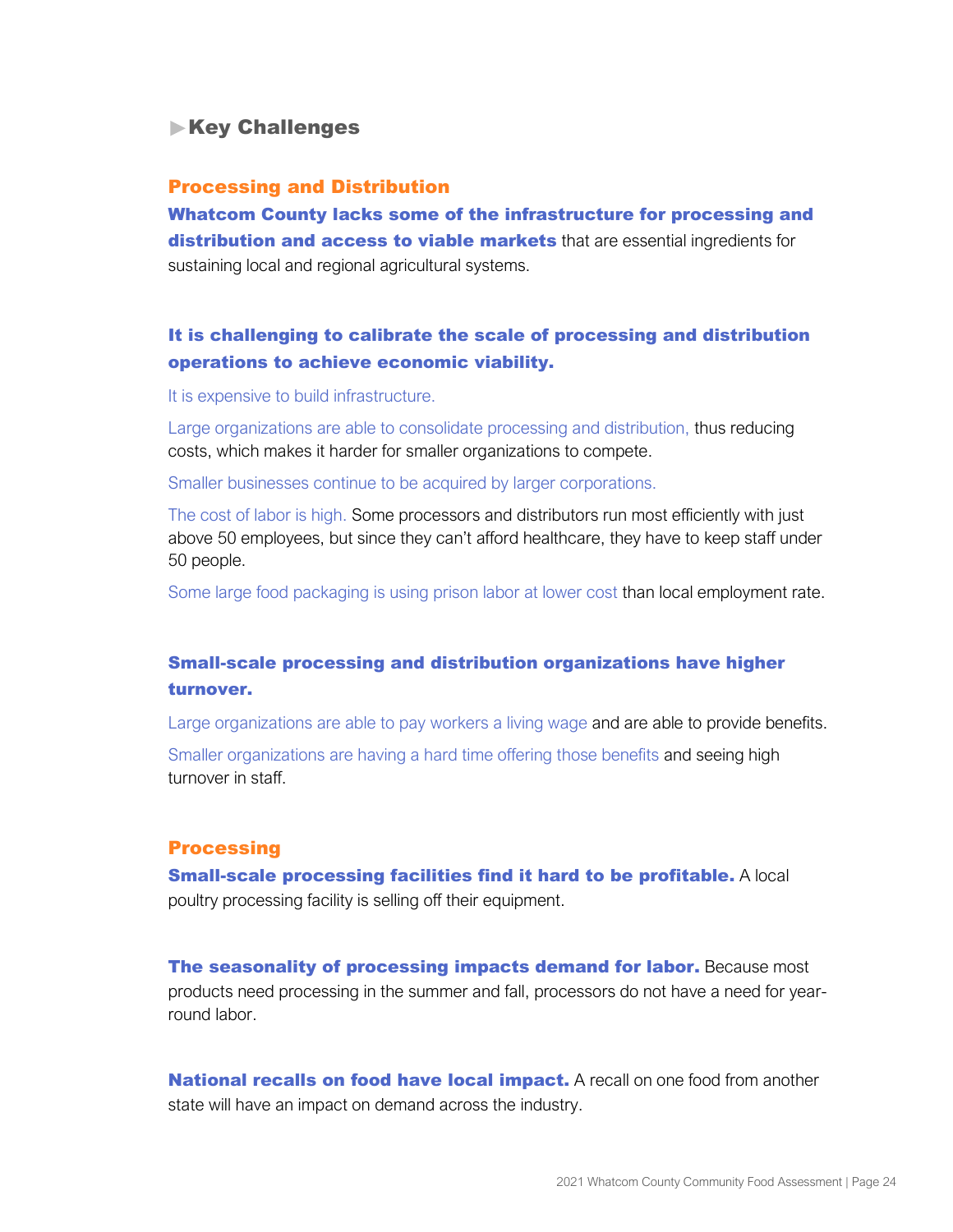# **Key Challenges**

#### Processing and Distribution

Whatcom County lacks some of the infrastructure for processing and distribution and access to viable markets that are essential ingredients for sustaining local and regional agricultural systems.

# It is challenging to calibrate the scale of processing and distribution operations to achieve economic viability.

It is expensive to build infrastructure.

Large organizations are able to consolidate processing and distribution, thus reducing costs, which makes it harder for smaller organizations to compete.

Smaller businesses continue to be acquired by larger corporations.

The cost of labor is high. Some processors and distributors run most efficiently with just above 50 employees, but since they can't afford healthcare, they have to keep staff under 50 people.

Some large food packaging is using prison labor at lower cost than local employment rate.

# Small-scale processing and distribution organizations have higher turnover.

Large organizations are able to pay workers a living wage and are able to provide benefits. Smaller organizations are having a hard time offering those benefits and seeing high turnover in staff.

#### **Processing**

**Small-scale processing facilities find it hard to be profitable.** A local poultry processing facility is selling off their equipment.

The seasonality of processing impacts demand for labor. Because most products need processing in the summer and fall, processors do not have a need for yearround labor.

**National recalls on food have local impact.** A recall on one food from another state will have an impact on demand across the industry.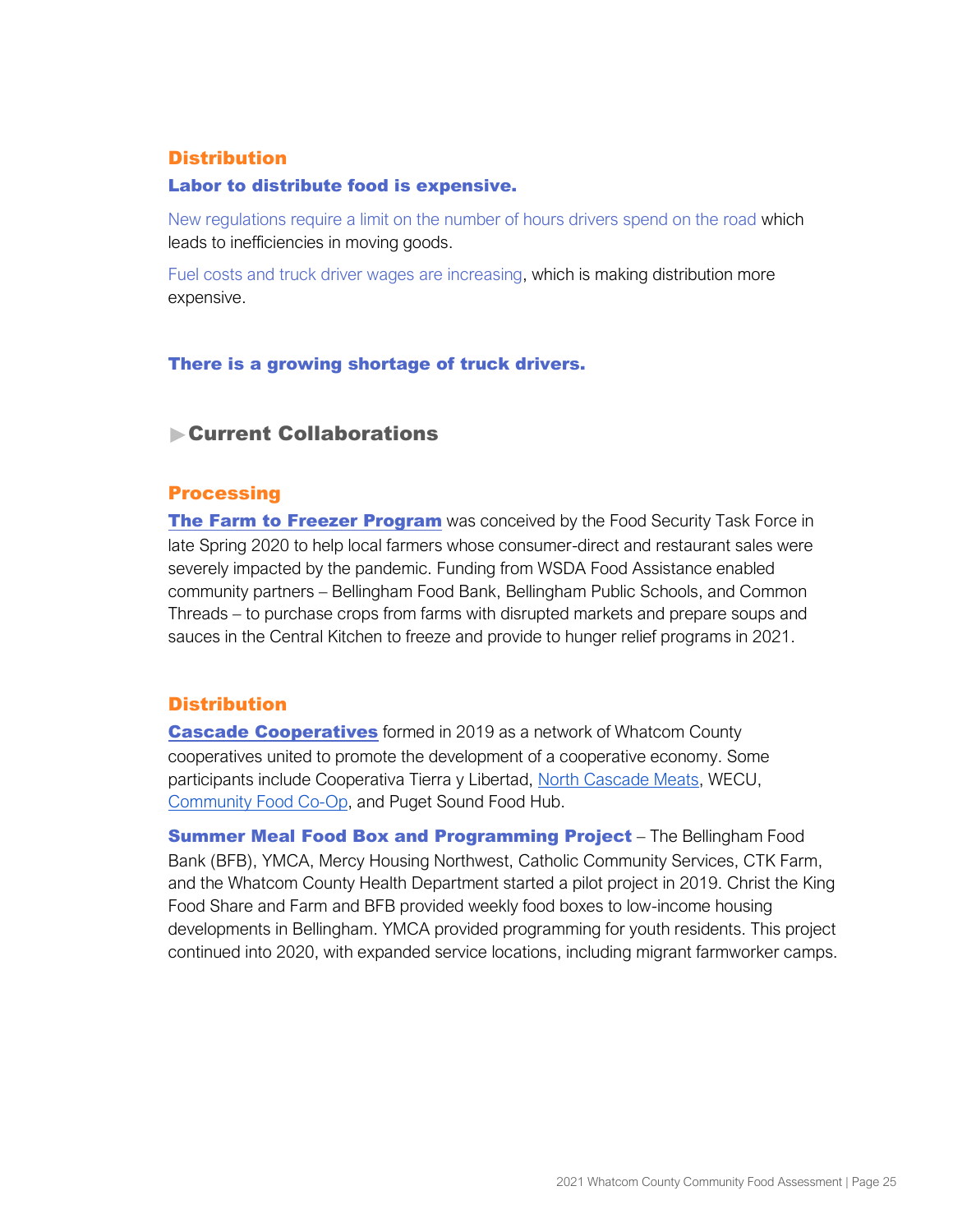### **Distribution**

#### Labor to distribute food is expensive.

New regulations require a limit on the number of hours drivers spend on the road which leads to inefficiencies in moving goods.

Fuel costs and truck driver wages are increasing, which is making distribution more expensive.

#### There is a growing shortage of truck drivers.

## Current Collaborations

#### **Processing**

[The Farm to Freezer Program](https://whatcomcf.org/food-security-task-force-and-farm-to-freezer-update/) was conceived by the Food Security Task Force in late Spring 2020 to help local farmers whose consumer-direct and restaurant sales were severely impacted by the pandemic. Funding from WSDA Food Assistance enabled community partners – Bellingham Food Bank, Bellingham Public Schools, and Common Threads – to purchase crops from farms with disrupted markets and prepare soups and sauces in the Central Kitchen to freeze and provide to hunger relief programs in 2021.

#### **Distribution**

**[Cascade Cooperatives](http://cascadecooperatives.coop/)** formed in 2019 as a network of Whatcom County cooperatives united to promote the development of a cooperative economy. Some participants include Cooperativa Tierra y Libertad, [North Cascade Meats,](https://www.northcascademeats.com/about/) WECU[,](https://communityfood.coop/) [Community Food Co-Op,](https://communityfood.coop/) and Puget Sound Food Hub.

**Summer Meal Food Box and Programming Project** – The Bellingham Food Bank (BFB), YMCA, Mercy Housing Northwest, Catholic Community Services, CTK Farm, and the Whatcom County Health Department started a pilot project in 2019. Christ the King Food Share and Farm and BFB provided weekly food boxes to low-income housing developments in Bellingham. YMCA provided programming for youth residents. This project continued into 2020, with expanded service locations, including migrant farmworker camps.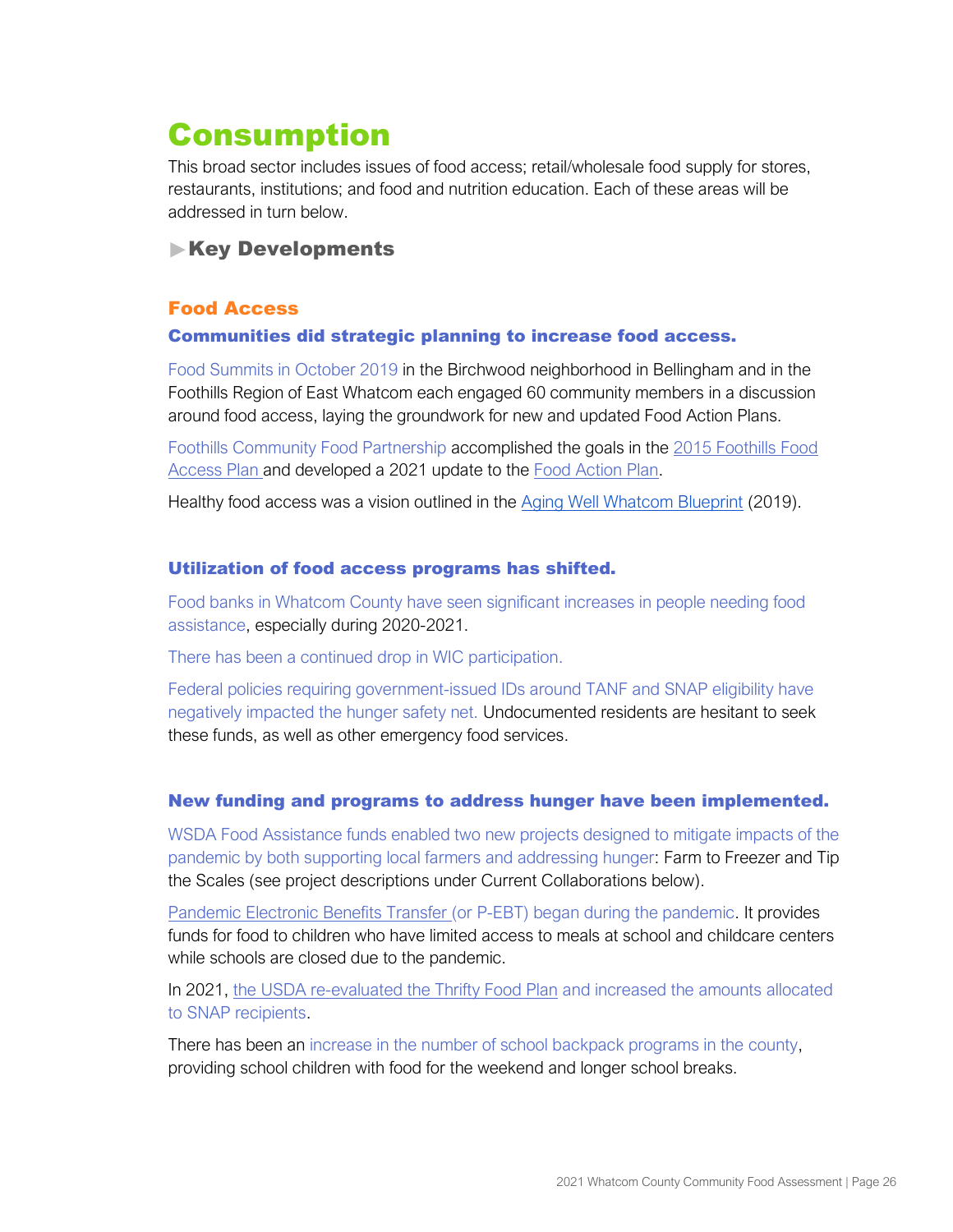# <span id="page-27-0"></span>Consumption

This broad sector includes issues of food access; retail/wholesale food supply for stores, restaurants, institutions; and food and nutrition education. Each of these areas will be addressed in turn below.

# **Key Developments**

# Food Access

#### Communities did strategic planning to increase food access.

Food Summits in October 2019 in the Birchwood neighborhood in Bellingham and in the Foothills Region of East Whatcom each engaged 60 community members in a discussion around food access, laying the groundwork for new and updated Food Action Plans.

Foothills Community Food Partnership accomplished the goals in the [2015 Foothills Food](https://foothillsfoodbank.org/wp-content/uploads/2015/09/Foothills-Food-Access-Plan_4.1.15_FINAL.pdf)  [Access Plan](https://foothillsfoodbank.org/wp-content/uploads/2015/09/Foothills-Food-Access-Plan_4.1.15_FINAL.pdf) and developed a 2021 update to the [Food Action Plan.](https://foothillsfoodbank.org/wp-content/uploads/2021/07/2021-Foothills-Food-Access-Plan.pdf)

H[e](https://static1.squarespace.com/static/5d5eeb84b575850001806081/t/5da79ac3d9eaa17ad509aaf3/1571265222995/AWW_Blueprint_WEB+9.25.19.pdf)althy food access was a vision outlined in the [Aging Well Whatcom Blueprint](https://www.agingwellwhatcom.org/blueprint) (2019).

## Utilization of food access programs has shifted.

Food banks in Whatcom County have seen significant increases in people needing food assistance, especially during 2020-2021.

There has been a continued drop in WIC participation.

Federal policies requiring government-issued IDs around TANF and SNAP eligibility have negatively impacted the hunger safety net. Undocumented residents are hesitant to seek these funds, as well as other emergency food services.

## New funding and programs to address hunger have been implemented.

WSDA Food Assistance funds enabled two new projects designed to mitigate impacts of the pandemic by both supporting local farmers and addressing hunger: Farm to Freezer and Tip the Scales (see project descriptions under Current Collaborations below).

[Pandemic Electronic Benefits Transfer](https://www.dshs.wa.gov/esa/community-services-offices/pandemic-ebt-p-ebt) (or P-EBT) began during the pandemic. It provides funds for food to children who have limited access to meals at school and childcare centers while schools are closed due to the pandemic.

In 2021, [the USDA re-evaluated the Thrifty Food Plan](https://www.fns.usda.gov/news-item/usda-0179.21) and increased the amounts allocated to SNAP recipients.

There has been an increase in the number of school backpack programs in the county, providing school children with food for the weekend and longer school breaks.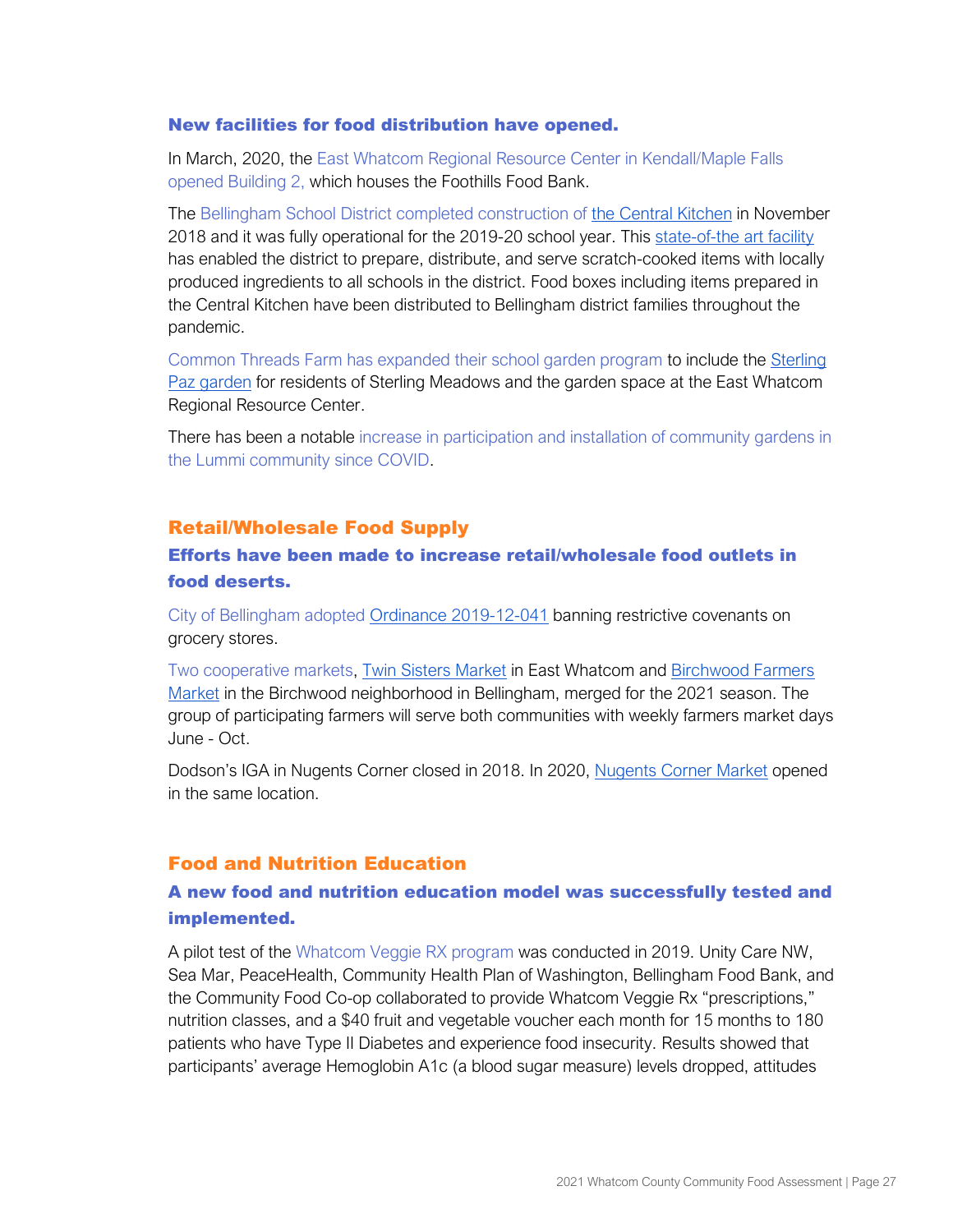#### New facilities for food distribution have opened.

In March, 2020, the East Whatcom Regional Resource Center in Kendall/Maple Falls opened Building 2, which houses the Foothills Food Bank.

The Bellingham School District completed construction o[f](https://promise.bellinghamschools.org/2018/12/03/ribbon-cutting-ceremony-celebrates-the-new-central-kitchen/) [the Central Kitchen](https://promise.bellinghamschools.org/2018/12/03/ribbon-cutting-ceremony-celebrates-the-new-central-kitchen/) in November 2018 and it was fully operational for the 2019-20 school year. Thi[s](https://www.facebook.com/watch/?v=154523562123997) [state-of-the art facility](https://www.facebook.com/watch/?v=154523562123997) has enabled the district to prepare, distribute, and serve scratch-cooked items with locally produced ingredients to all schools in the district. Food boxes including items prepared in the Central Kitchen have been distributed to Bellingham district families throughout the pandemic.

Common Threads Farm has expanded their school garden program to include the Sterling [Paz garden](https://eatlocalfirst.org/listing/sterling-paz-garden/) for residents of Sterling Meadows and the garden space at the East Whatcom Regional Resource Center.

There has been a notable increase in participation and installation of community gardens in the Lummi community since COVID.

#### Retail/Wholesale Food Supply

# Efforts have been made to increase retail/wholesale food outlets in food deserts.

City of Bellingham adopte[d](https://bellingham.municipal.codes/enactments/Ord2019-12-041) [Ordinance 2019-12-041](https://bellingham.municipal.codes/enactments/Ord2019-12-041) banning restrictive covenants on grocery stores.

Two cooperative markets, [Twin Sisters Market](https://www.twinsistersmarket.com/) in East Whatcom an[d](https://www.citysproutsfarm.com/market) [Birchwood Farmers](https://www.citysproutsfarm.com/market)  [Market](https://www.citysproutsfarm.com/market) in the Birchwood neighborhood in Bellingham, merged for the 2021 season. The group of participating farmers will serve both communities with weekly farmers market days June - Oct.

Dodson's IGA in Nugents Corner closed in 2018. In 2020, [Nugents Corner Market](https://www.nugentscorner.com/) opened in the same location.

## Food and Nutrition Education

# A new food and nutrition education model was successfully tested and implemented.

A pilot test of the Whatcom Veggie RX program was conducted in 2019. Unity Care NW, Sea Mar, PeaceHealth, Community Health Plan of Washington, Bellingham Food Bank, and the Community Food Co-op collaborated to provide Whatcom Veggie Rx "prescriptions," nutrition classes, and a \$40 fruit and vegetable voucher each month for 15 months to 180 patients who have Type II Diabetes and experience food insecurity. Results showed that participants' average Hemoglobin A1c (a blood sugar measure) levels dropped, attitudes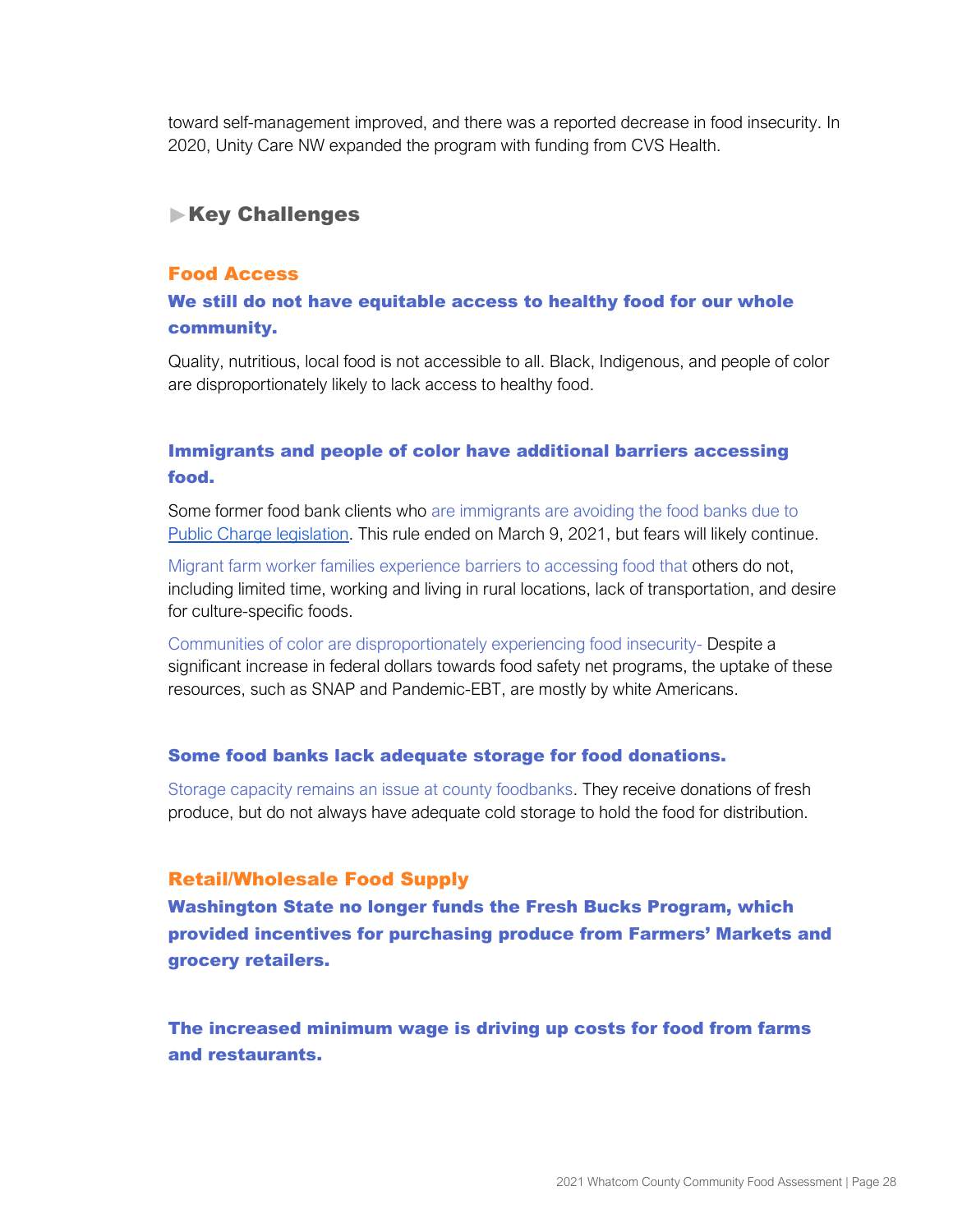toward self-management improved, and there was a reported decrease in food insecurity. In 2020, Unity Care NW expanded the program with funding from CVS Health.

# **Key Challenges**

#### Food Access

# We still do not have equitable access to healthy food for our whole community.

Quality, nutritious, local food is not accessible to all. Black, Indigenous, and people of color are disproportionately likely to lack access to healthy food.

# Immigrants and people of color have additional barriers accessing food.

Some former food bank clients who are immigrants are avoiding the food banks due t[o](https://www.ilrc.org/public-charge) [Public Charge legislation.](https://www.ilrc.org/public-charge) This rule ended on March 9, 2021, but fears will likely continue.

Migrant farm worker families experience barriers to accessing food that others do not, including limited time, working and living in rural locations, lack of transportation, and desire for culture-specific foods.

Communities of color are disproportionately experiencing food insecurity- Despite a significant increase in federal dollars towards food safety net programs, the uptake of these resources, such as SNAP and Pandemic-EBT, are mostly by white Americans.

#### Some food banks lack adequate storage for food donations.

Storage capacity remains an issue at county foodbanks. They receive donations of fresh produce, but do not always have adequate cold storage to hold the food for distribution.

## Retail/Wholesale Food Supply

Washington State no longer funds the Fresh Bucks Program, which provided incentives for purchasing produce from Farmers' Markets and grocery retailers.

The increased minimum wage is driving up costs for food from farms and restaurants.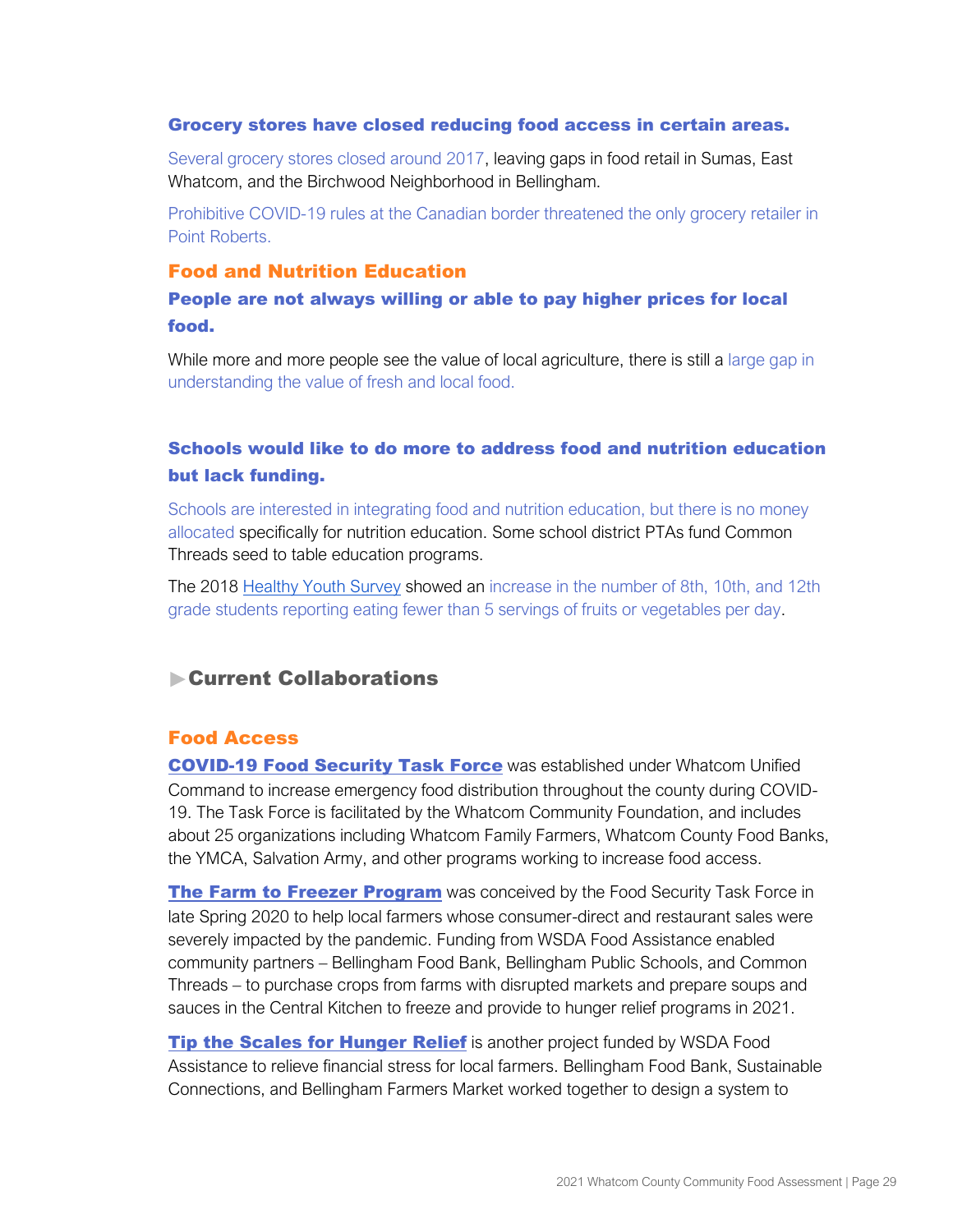#### Grocery stores have closed reducing food access in certain areas.

Several grocery stores closed around 2017, leaving gaps in food retail in Sumas, East Whatcom, and the Birchwood Neighborhood in Bellingham.

Prohibitive COVID-19 rules at the Canadian border threatened the only grocery retailer in Point Roberts.

#### Food and Nutrition Education

## People are not always willing or able to pay higher prices for local food.

While more and more people see the value of local agriculture, there is still a large gap in understanding the value of fresh and local food.

# Schools would like to do more to address food and nutrition education but lack funding.

Schools are interested in integrating food and nutrition education, but there is no money allocated specifically for nutrition education. Some school district PTAs fund Common Threads seed to table education programs.

The 2018 [Healthy Youth](https://www.askhys.net/FactSheets) Survey showed an increase in the number of 8th, 10th, and 12th grade students reporting eating fewer than 5 servings of fruits or vegetables per day.

# Current Collaborations

## Food Access

[COVID-19 Food Security Task Force](https://whatcomcf.org/food-security-task-force-and-farm-to-freezer-update/) was established under Whatcom Unified Command to increase emergency food distribution throughout the county during COVID-19. The Task Force is facilitated by the Whatcom Community Foundation, and includes about 25 organizations including Whatcom Family Farmers, Whatcom County Food Banks, the YMCA, Salvation Army, and other programs working to increase food access.

[The Farm to Freezer Program](https://whatcomcf.org/food-security-task-force-and-farm-to-freezer-update/) was conceived by the Food Security Task Force in late Spring 2020 to help local farmers whose consumer-direct and restaurant sales were severely impacted by the pandemic. Funding from WSDA Food Assistance enabled community partners – Bellingham Food Bank, Bellingham Public Schools, and Common Threads – to purchase crops from farms with disrupted markets and prepare soups and sauces in the Central Kitchen to freeze and provide to hunger relief programs in 2021.

**Tip the Scales [for Hunger Relief](https://www.bellinghamfarmers.org/blog/tip-the-scales-for-hunger-relief)** is another project funded by WSDA Food Assistance to relieve financial stress for local farmers. Bellingham Food Bank, Sustainable Connections, and Bellingham Farmers Market worked together to design a system to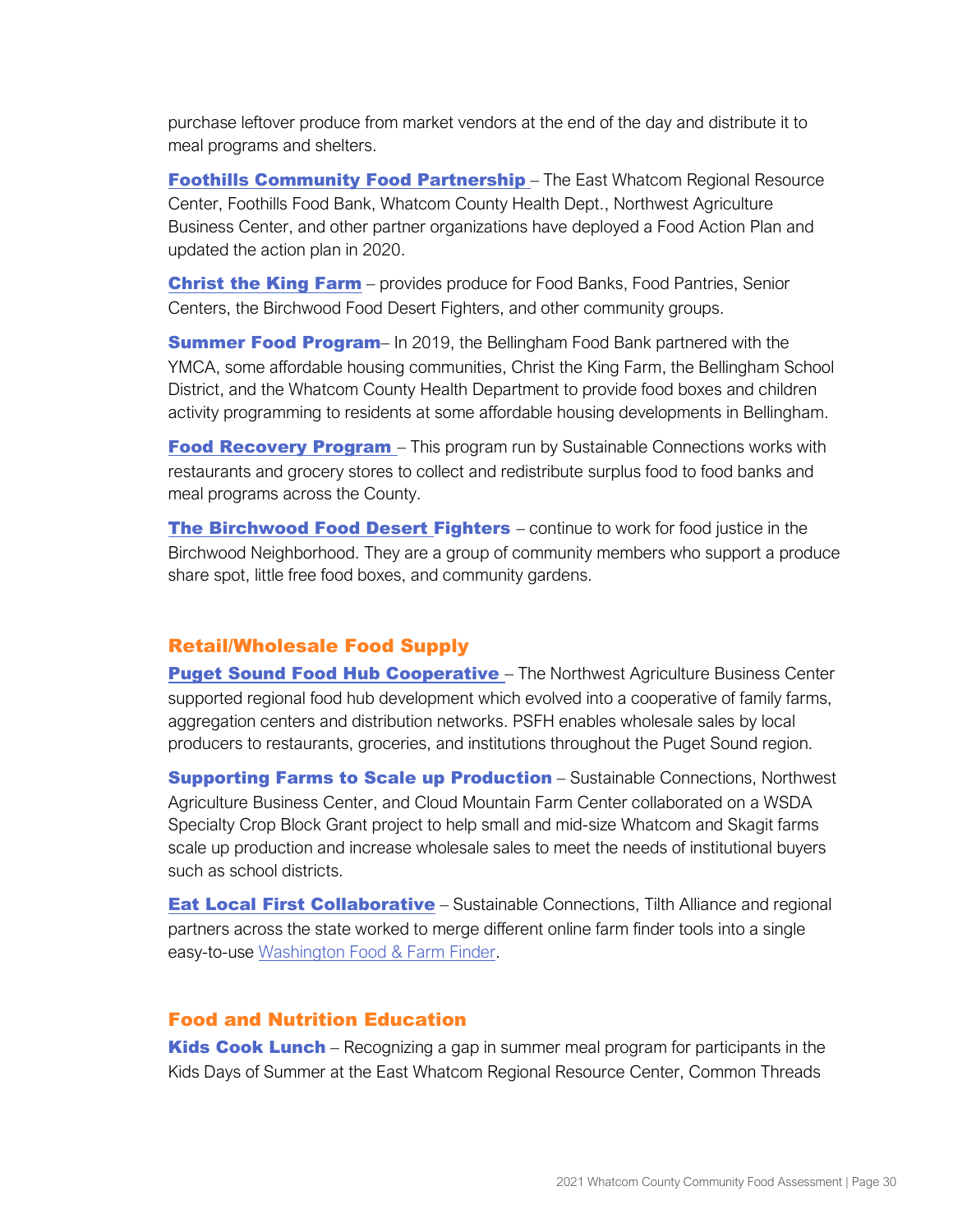purchase leftover produce from market vendors at the end of the day and distribute it to meal programs and shelters.

**[Foothills Community Food Partnership](https://foothillsfoodbank.org/foothills-community-food-partnership)** – The East Whatcom Regional Resource Center, Foothills Food Bank, Whatcom County Health Dept., Northwest Agriculture Business Center, and other partner organizations have deployed a Food Action Plan and updated the action plan in 2020.

[Christ the King Farm](https://www.ctk.church/bellingham/food-farm/) - provides produce for Food Banks, Food Pantries, Senior Centers, the Birchwood Food Desert Fighters, and other community groups.

**Summer Food Program**– In 2019, the Bellingham Food Bank partnered with the YMCA, some affordable housing communities, Christ the King Farm, the Bellingham School District, and the Whatcom County Health Department to provide food boxes and children activity programming to residents at some affordable housing developments in Bellingham.

**[Food Recovery Program](https://sustainableconnections.org/squatchfoodwaste/)** – This program run by Sustainable Connections works with restaurants and grocery stores to collect and redistribute surplus food to food banks and meal programs across the County.

**[The Birchwood Food Desert Fighters](https://www.facebook.com/groups/birchwoodfooddesertfighters/)** – continue to work for food justice in the Birchwood Neighborhood. They are a group of community members who support a produce share spot, little free food boxes, and community gardens.

## Retail/Wholesale Food Supply

**[Puget Sound Food Hub Cooperative](https://pugetsoundfoodhub.com/)** – The Northwest Agriculture Business Center supported regional food hub development which evolved into a cooperative of family farms, aggregation centers and distribution networks. PSFH enables wholesale sales by local producers to restaurants, groceries, and institutions throughout the Puget Sound region.

**Supporting Farms to Scale up Production** – Sustainable Connections, Northwest Agriculture Business Center, and Cloud Mountain Farm Center collaborated on a WSDA Specialty Crop Block Grant project to help small and mid-size Whatcom and Skagit farms scale up production and increase wholesale sales to meet the needs of institutional buyers such as school districts.

**[Eat Local First Collaborative](https://eatlocalfirst.org/elf_collaborative/)** – Sustainable Connections, Tilth Alliance and regional partners across the state worked to merge different online farm finder tools into a single easy-to-us[e](https://eatlocalfirst.org/wa-food-farm-finder/) [Washington Food & Farm Finder.](https://eatlocalfirst.org/wa-food-farm-finder/)

## Food and Nutrition Education

**Kids Cook Lunch** – Recognizing a gap in summer meal program for participants in the Kids Days of Summer at the East Whatcom Regional Resource Center, Common Threads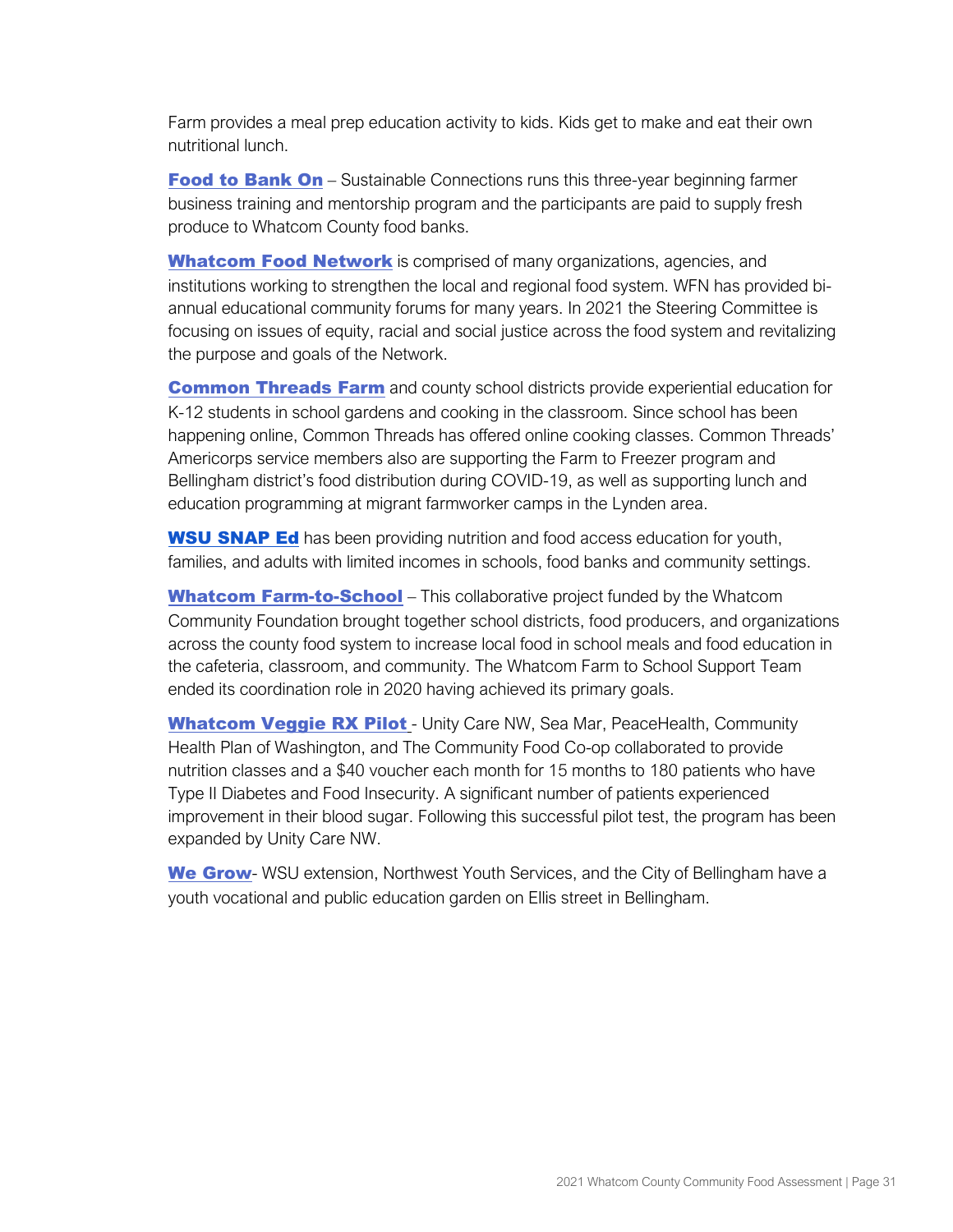Farm provides a meal prep education activity to kids. Kids get to make and eat their own nutritional lunch.

[Food to Bank On](https://eatlocalfirst.org/business-tools/food-to-bank-on/) – Sustainable Connections runs this three-year beginning farmer business training and mentorship program and the participants are paid to supply fresh produce to Whatcom County food banks.

**[Whatcom Food Network](https://whatcomfoodnetwork.org/)** is comprised of many organizations, agencies, and institutions working to strengthen the local and regional food system. WFN has provided biannual educational community forums for many years. In 2021 the Steering Committee is focusing on issues of equity, racial and social justice across the food system and revitalizing the purpose and goals of the Network.

**[Common Threads](https://commonthreadsfarm.org/) Farm** and county school districts provide experiential education for K-12 students in school gardens and cooking in the classroom. Since school has been happening online, Common Threads has offered online cooking classes. Common Threads' Americorps service members also are supporting the Farm to Freezer program and Bellingham district's food distribution during COVID-19, as well as supporting lunch and education programming at migrant farmworker camps in the Lynden area.

**[WSU SNAP Ed](https://extension.wsu.edu/whatcom/fch/snap-ed/)** has been providing nutrition and food access education for youth, families, and adults with limited incomes in schools, food banks and community settings.

**[Whatcom Farm-to-School](https://www.whatcomfarmtoschool.org/)** – This collaborative project funded by the Whatcom Community Foundation brought together school districts, food producers, and organizations across the county food system to increase local food in school meals and food education in the cafeteria, classroom, and community. The Whatcom Farm to School Support Team ended its coordination role in 2020 having achieved its primary goals.

**Whatcom Veggie RX Pilot - Unity Care NW, Sea Mar, PeaceHealth, Community** Health Plan of Washington, and The Community Food Co-op collaborated to provide nutrition classes and a \$40 voucher each month for 15 months to 180 patients who have Type II Diabetes and Food Insecurity. A significant number of patients experienced improvement in their blood sugar. Following this successful pilot test, the program has been expanded by Unity Care NW.

[We Grow](https://extension.wsu.edu/whatcom/hg/we-grow/)- WSU extension, Northwest Youth Services, and the City of Bellingham have a youth vocational and public education garden on Ellis street in Bellingham.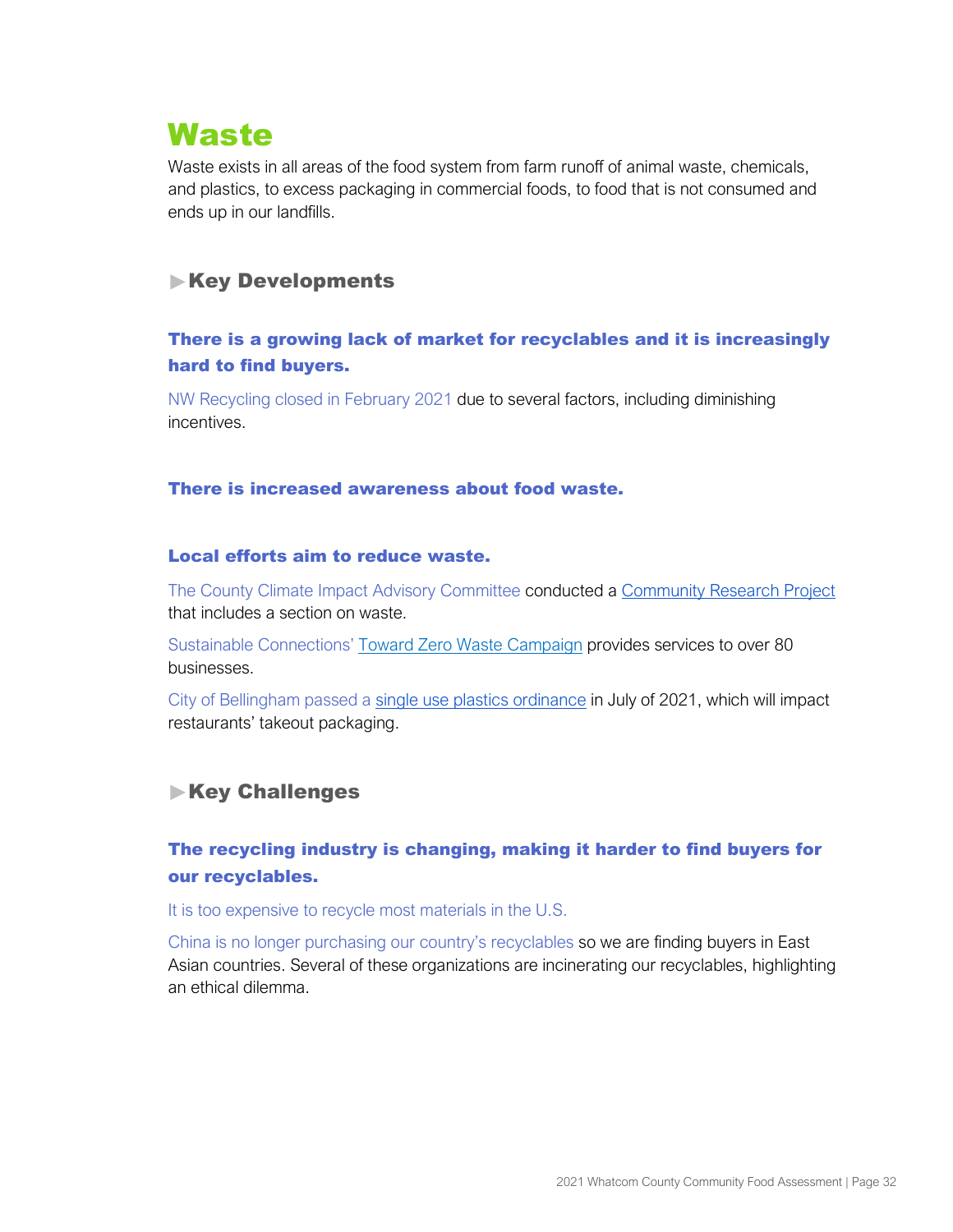# <span id="page-33-0"></span>**Waste**

Waste exists in all areas of the food system from farm runoff of animal waste, chemicals, and plastics, to excess packaging in commercial foods, to food that is not consumed and ends up in our landfills.

# **Key Developments**

# There is a growing lack of market for recyclables and it is increasingly hard to find buyers.

NW Recycling closed in February 2021 due to several factors, including diminishing incentives.

#### There is increased awareness about food waste.

#### Local efforts aim to reduce waste.

The County Clim[a](https://www.whatcomcounty.us/DocumentCenter/View/43718/2019-Whatcom-County-Community-Research-Project)te Impact Advisory Committee conducted a [Community Research Project](https://www.whatcomcounty.us/DocumentCenter/View/43718/2019-Whatcom-County-Community-Research-Project) that includes a section on waste.

Sustainable Connections' [Toward Zero Waste Campaign](https://sustainableconnections.org/programs/business-development/toward-zero-waste/) provides services to over 80 businesses.

City of Bellingham passed a [single use plastics ordinance](https://bellingham.municipal.codes/BMC/6.47.020) in July of 2021, which will impact restaurants' takeout packaging.

# **Key Challenges**

# The recycling industry is changing, making it harder to find buyers for our recyclables.

It is too expensive to recycle most materials in the U.S.

China is no longer purchasing our country's recyclables so we are finding buyers in East Asian countries. Several of these organizations are incinerating our recyclables, highlighting an ethical dilemma.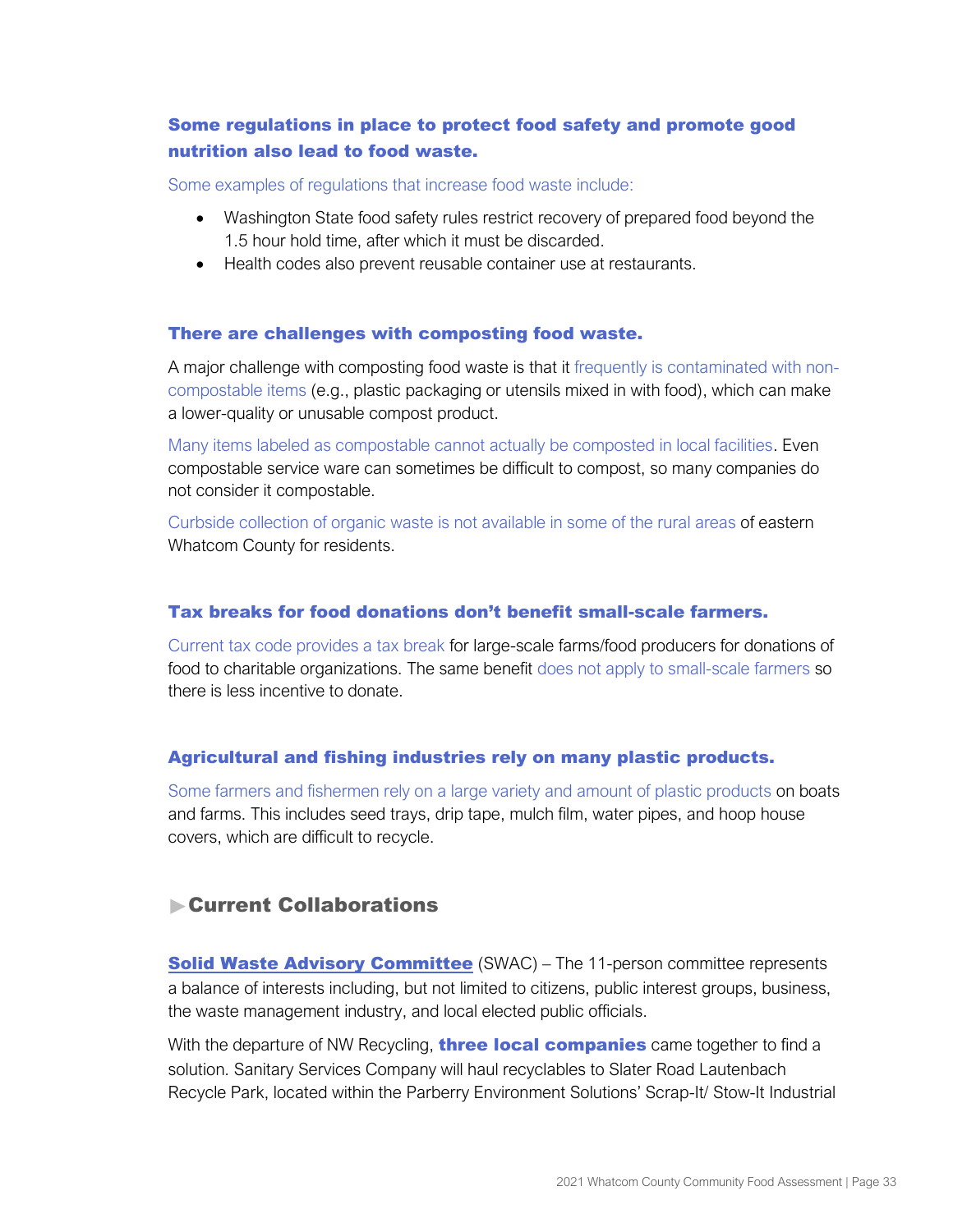# Some regulations in place to protect food safety and promote good nutrition also lead to food waste.

Some examples of regulations that increase food waste include:

- Washington State food safety rules restrict recovery of prepared food beyond the 1.5 hour hold time, after which it must be discarded.
- Health codes also prevent reusable container use at restaurants.

#### There are challenges with composting food waste.

A major challenge with composting food waste is that it frequently is contaminated with noncompostable items (e.g., plastic packaging or utensils mixed in with food), which can make a lower-quality or unusable compost product.

Many items labeled as compostable cannot actually be composted in local facilities. Even compostable service ware can sometimes be difficult to compost, so many companies do not consider it compostable.

Curbside collection of organic waste is not available in some of the rural areas of eastern Whatcom County for residents.

#### Tax breaks for food donations don't benefit small-scale farmers.

Current tax code provides a tax break for large-scale farms/food producers for donations of food to charitable organizations. The same benefit does not apply to small-scale farmers so there is less incentive to donate.

## Agricultural and fishing industries rely on many plastic products.

Some farmers and fishermen rely on a large variety and amount of plastic products on boats and farms. This includes seed trays, drip tape, mulch film, water pipes, and hoop house covers, which are difficult to recycle.

# Current Collaborations

**[Solid Waste Advisory Committee](http://www.whatcomcounty.us/613/Solid-Waste-Advisory-Committee) (SWAC) – The 11-person committee represents** a balance of interests including, but not limited to citizens, public interest groups, business, the waste management industry, and local elected public officials.

With the departure of NW Recycling, **three local companies** came together to find a solution. Sanitary Services Company will haul recyclables to Slater Road Lautenbach Recycle Park, located within the Parberry Environment Solutions' Scrap-It/ Stow-It Industrial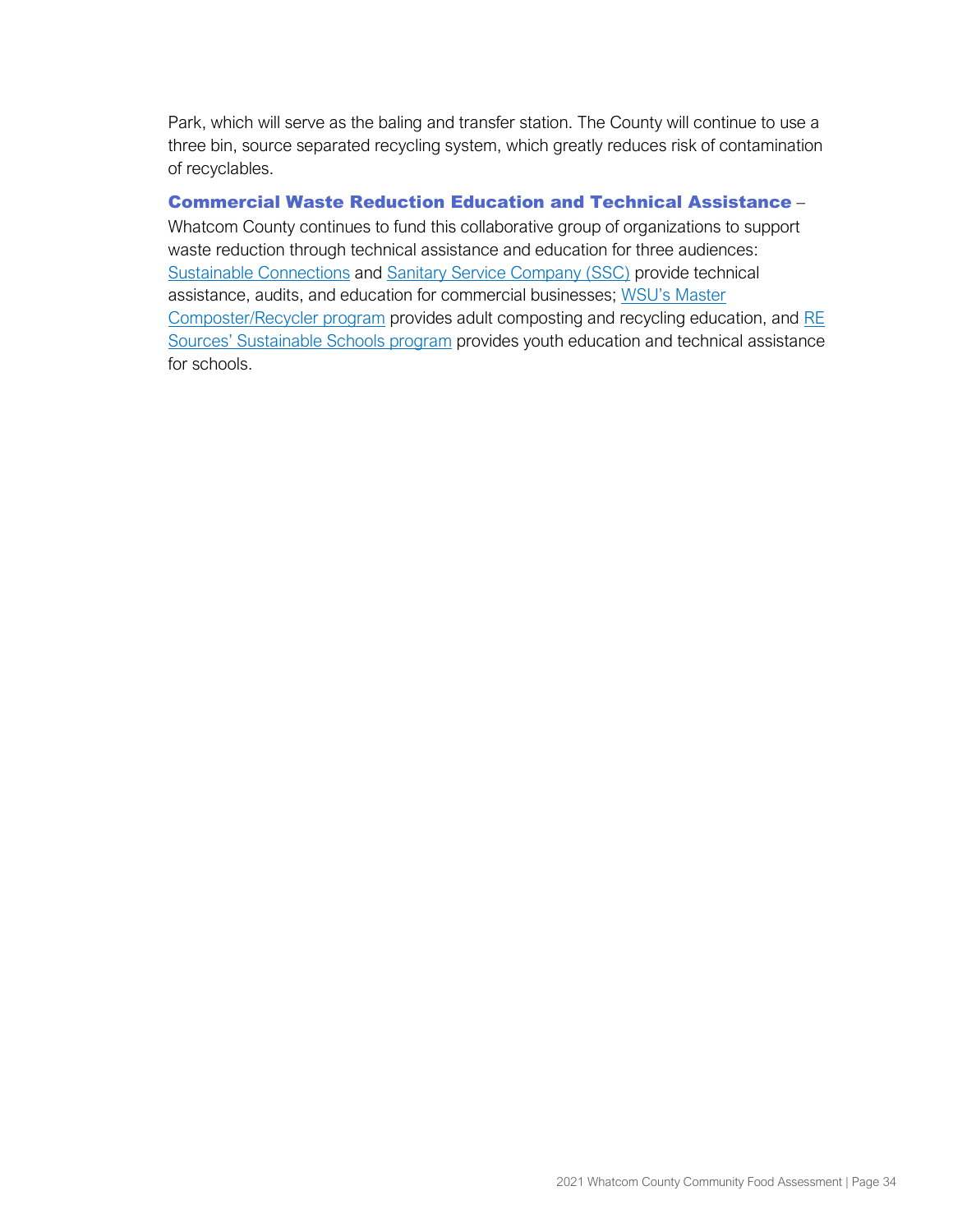Park, which will serve as the baling and transfer station. The County will continue to use a three bin, source separated recycling system, which greatly reduces risk of contamination of recyclables.

#### Commercial Waste Reduction Education and Technical Assistance –

Whatcom County continues to fund this collaborative group of organizations to support waste reduction through technical assistance and education for three audiences[:](https://sustainableconnections.org/programs/business-development/) [Sustainable Connections](https://sustainableconnections.org/programs/business-development/) an[d](http://www.ssc-inc.com/index.php) [Sanitary Service Company \(SSC\)](http://www.ssc-inc.com/index.php) provide technical assistance, audits, and education for commercial businesses; [WSU's Master](http://whatcom.wsu.edu/ch/compost.html)  [Composter/Recycler program](http://whatcom.wsu.edu/ch/compost.html) provides adult composting and recycling education, an[d](http://www.re-sources.org/programs/sustainableschools) [RE](http://www.re-sources.org/programs/sustainableschools) [Sources' Sustainable Schools progr](http://www.re-sources.org/programs/sustainableschools)am provides youth education and technical assistance for schools.